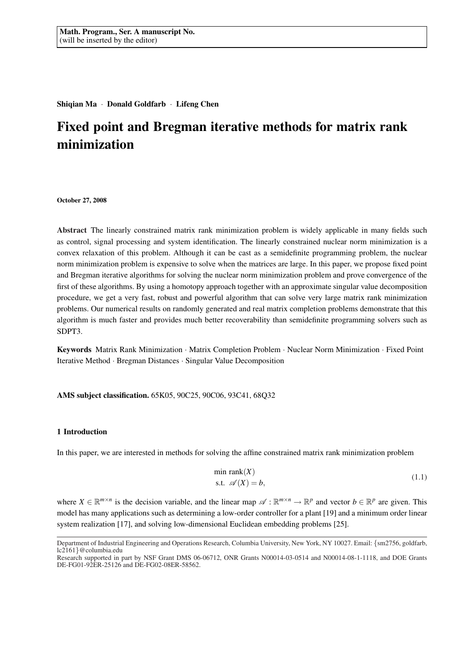Shiqian Ma · Donald Goldfarb · Lifeng Chen

# Fixed point and Bregman iterative methods for matrix rank minimization

#### October 27, 2008

Abstract The linearly constrained matrix rank minimization problem is widely applicable in many fields such as control, signal processing and system identification. The linearly constrained nuclear norm minimization is a convex relaxation of this problem. Although it can be cast as a semidefinite programming problem, the nuclear norm minimization problem is expensive to solve when the matrices are large. In this paper, we propose fixed point and Bregman iterative algorithms for solving the nuclear norm minimization problem and prove convergence of the first of these algorithms. By using a homotopy approach together with an approximate singular value decomposition procedure, we get a very fast, robust and powerful algorithm that can solve very large matrix rank minimization problems. Our numerical results on randomly generated and real matrix completion problems demonstrate that this algorithm is much faster and provides much better recoverability than semidefinite programming solvers such as SDPT3.

Keywords Matrix Rank Minimization · Matrix Completion Problem · Nuclear Norm Minimization · Fixed Point Iterative Method · Bregman Distances · Singular Value Decomposition

### AMS subject classification. 65K05, 90C25, 90C06, 93C41, 68Q32

### 1 Introduction

In this paper, we are interested in methods for solving the affine constrained matrix rank minimization problem

$$
\min \text{rank}(X) \n\text{s.t. } \mathscr{A}(X) = b,
$$
\n(1.1)

where  $X \in \mathbb{R}^{m \times n}$  is the decision variable, and the linear map  $\mathscr{A}: \mathbb{R}^{m \times n} \to \mathbb{R}^p$  and vector  $b \in \mathbb{R}^p$  are given. This model has many applications such as determining a low-order controller for a plant [19] and a minimum order linear system realization [17], and solving low-dimensional Euclidean embedding problems [25].

Department of Industrial Engineering and Operations Research, Columbia University, New York, NY 10027. Email: {sm2756, goldfarb, lc2161}@columbia.edu

Research supported in part by NSF Grant DMS 06-06712, ONR Grants N00014-03-0514 and N00014-08-1-1118, and DOE Grants DE-FG01-92ER-25126 and DE-FG02-08ER-58562.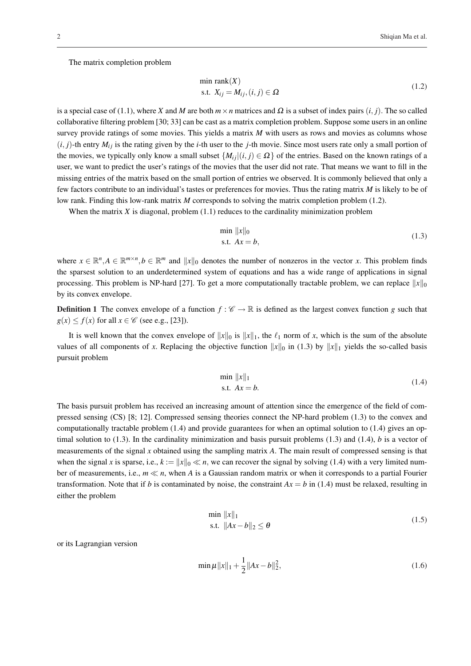The matrix completion problem

$$
\min \text{rank}(X) \n\text{s.t. } X_{ij} = M_{ij}, (i, j) \in \Omega
$$
\n(1.2)

is a special case of (1.1), where *X* and *M* are both  $m \times n$  matrices and  $\Omega$  is a subset of index pairs (*i*, *j*). The so called collaborative filtering problem [30; 33] can be cast as a matrix completion problem. Suppose some users in an online survey provide ratings of some movies. This yields a matrix *M* with users as rows and movies as columns whose  $(i, j)$ -th entry  $M_{ij}$  is the rating given by the *i*-th user to the *j*-th movie. Since most users rate only a small portion of the movies, we typically only know a small subset  $\{M_{ij}|(i,j) \in \Omega\}$  of the entries. Based on the known ratings of a user, we want to predict the user's ratings of the movies that the user did not rate. That means we want to fill in the missing entries of the matrix based on the small portion of entries we observed. It is commonly believed that only a few factors contribute to an individual's tastes or preferences for movies. Thus the rating matrix *M* is likely to be of low rank. Finding this low-rank matrix *M* corresponds to solving the matrix completion problem (1.2).

When the matrix  $X$  is diagonal, problem  $(1.1)$  reduces to the cardinality minimization problem

$$
\min \|x\|_0
$$
  
s.t.  $Ax = b$ , (1.3)

where  $x \in \mathbb{R}^n, A \in \mathbb{R}^{m \times n}, b \in \mathbb{R}^m$  and  $||x||_0$  denotes the number of nonzeros in the vector *x*. This problem finds the sparsest solution to an underdetermined system of equations and has a wide range of applications in signal processing. This problem is NP-hard [27]. To get a more computationally tractable problem, we can replace  $||x||_0$ by its convex envelope.

**Definition 1** The convex envelope of a function  $f: \mathcal{C} \to \mathbb{R}$  is defined as the largest convex function *g* such that  $g(x) \le f(x)$  for all  $x \in \mathcal{C}$  (see e.g., [23]).

It is well known that the convex envelope of  $||x||_0$  is  $||x||_1$ , the  $\ell_1$  norm of *x*, which is the sum of the absolute values of all components of x. Replacing the objective function  $||x||_0$  in (1.3) by  $||x||_1$  yields the so-called basis pursuit problem

$$
\min \|x\|_1 \n\text{s.t. } Ax = b.
$$
\n(1.4)

The basis pursuit problem has received an increasing amount of attention since the emergence of the field of compressed sensing (CS) [8; 12]. Compressed sensing theories connect the NP-hard problem (1.3) to the convex and computationally tractable problem (1.4) and provide guarantees for when an optimal solution to (1.4) gives an optimal solution to  $(1.3)$ . In the cardinality minimization and basis pursuit problems  $(1.3)$  and  $(1.4)$ , *b* is a vector of measurements of the signal *x* obtained using the sampling matrix *A*. The main result of compressed sensing is that when the signal *x* is sparse, i.e.,  $k := ||x||_0 \ll n$ , we can recover the signal by solving (1.4) with a very limited number of measurements, i.e.,  $m \ll n$ , when A is a Gaussian random matrix or when it corresponds to a partial Fourier transformation. Note that if *b* is contaminated by noise, the constraint  $Ax = b$  in (1.4) must be relaxed, resulting in either the problem

$$
\min \|x\|_1
$$
  
s.t. 
$$
\|Ax - b\|_2 \le \theta
$$
 (1.5)

or its Lagrangian version

$$
\min \mu \|x\|_1 + \frac{1}{2} \|Ax - b\|_2^2, \tag{1.6}
$$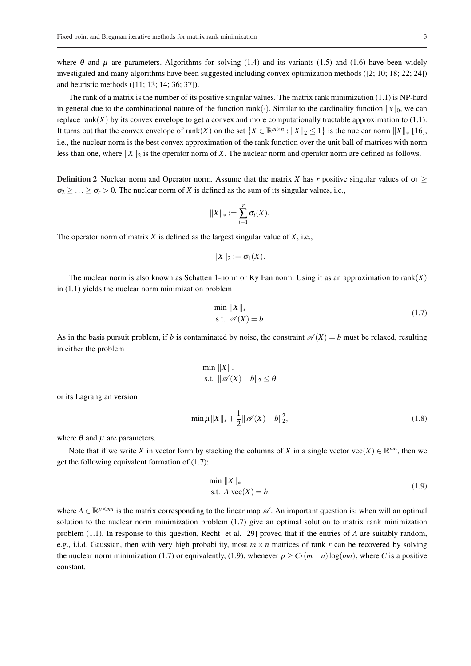where  $\theta$  and  $\mu$  are parameters. Algorithms for solving (1.4) and its variants (1.5) and (1.6) have been widely investigated and many algorithms have been suggested including convex optimization methods ([2; 10; 18; 22; 24]) and heuristic methods ([11; 13; 14; 36; 37]).

The rank of a matrix is the number of its positive singular values. The matrix rank minimization (1.1) is NP-hard in general due to the combinational nature of the function rank( $\cdot$ ). Similar to the cardinality function  $||x||_0$ , we can replace  $rank(X)$  by its convex envelope to get a convex and more computationally tractable approximation to  $(1.1)$ . It turns out that the convex envelope of rank(*X*) on the set  $\{X \in \mathbb{R}^{m \times n} : ||X||_2 \le 1\}$  is the nuclear norm  $||X||_*$  [16], i.e., the nuclear norm is the best convex approximation of the rank function over the unit ball of matrices with norm less than one, where  $||X||_2$  is the operator norm of *X*. The nuclear norm and operator norm are defined as follows.

**Definition 2** Nuclear norm and Operator norm. Assume that the matrix *X* has *r* positive singular values of  $\sigma_1 \geq$  $\sigma_2 \geq \ldots \geq \sigma_r > 0$ . The nuclear norm of *X* is defined as the sum of its singular values, i.e.,

$$
||X||_* := \sum_{i=1}^r \sigma_i(X).
$$

The operator norm of matrix *X* is defined as the largest singular value of *X*, i.e.,

$$
||X||_2 := \sigma_1(X).
$$

The nuclear norm is also known as Schatten 1-norm or Ky Fan norm. Using it as an approximation to rank(*X*) in (1.1) yields the nuclear norm minimization problem

$$
\min \|X\|_{*}
$$
  
s.t.  $\mathscr{A}(X) = b$ . (1.7)

As in the basis pursuit problem, if *b* is contaminated by noise, the constraint  $\mathscr{A}(X) = b$  must be relaxed, resulting in either the problem

$$
\min_{\mathbf{S}.\mathbf{t}} \|X\|_{*}
$$
  
s.t. 
$$
\|\mathscr{A}(X) - b\|_{2} \leq \theta
$$

or its Lagrangian version

$$
\min \mu \|X\|_{*} + \frac{1}{2} \|\mathscr{A}(X) - b\|_{2}^{2},
$$
\n(1.8)

where  $\theta$  and  $\mu$  are parameters.

Note that if we write *X* in vector form by stacking the columns of *X* in a single vector vec(*X*)  $\in \mathbb{R}^{mn}$ , then we get the following equivalent formation of (1.7):

$$
\min \|X\|_{*}
$$
  
s.t.  $A \text{ vec}(X) = b,$  (1.9)

where  $A \in \mathbb{R}^{p \times mn}$  is the matrix corresponding to the linear map  $\mathscr{A}$ . An important question is: when will an optimal solution to the nuclear norm minimization problem (1.7) give an optimal solution to matrix rank minimization problem (1.1). In response to this question, Recht et al. [29] proved that if the entries of *A* are suitably random, e.g., i.i.d. Gaussian, then with very high probability, most  $m \times n$  matrices of rank  $r$  can be recovered by solving the nuclear norm minimization (1.7) or equivalently, (1.9), whenever  $p \geq Cr(m+n)\log(mn)$ , where *C* is a positive constant.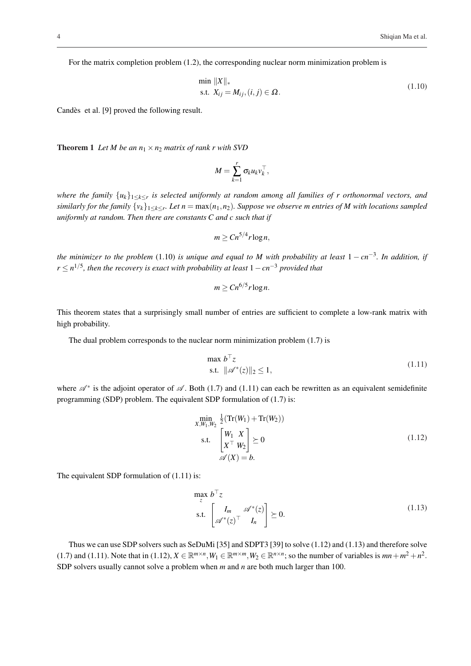For the matrix completion problem (1.2), the corresponding nuclear norm minimization problem is

$$
\min \|X\|_{*}
$$
  
s.t.  $X_{ij} = M_{ij}, (i, j) \in \Omega$ . (1.10)

Candès et al. [9] proved the following result.

**Theorem 1** Let M be an  $n_1 \times n_2$  matrix of rank r with SVD

$$
M=\sum_{k=1}^r \sigma_k u_k v_k^\top,
$$

*where the family* {*uk*}1≤*k*≤*<sup>r</sup> is selected uniformly at random among all families of r orthonormal vectors, and similarly for the family* {*vk*}1≤*k*≤*<sup>r</sup> . Let n* = max(*n*1,*n*2)*. Suppose we observe m entries of M with locations sampled uniformly at random. Then there are constants C and c such that if*

$$
m \geq C n^{5/4} r \log n,
$$

*the minimizer to the problem* (1.10) *is unique and equal to M with probability at least* 1 − *cn*−<sup>3</sup> *. In addition, if r* ≤ *n* 1/5 *, then the recovery is exact with probability at least* 1−*cn*−<sup>3</sup> *provided that*

$$
m \geq C n^{6/5} r \log n.
$$

This theorem states that a surprisingly small number of entries are sufficient to complete a low-rank matrix with high probability.

The dual problem corresponds to the nuclear norm minimization problem (1.7) is

$$
\max b^{\top} z
$$
  
s.t. 
$$
\|\mathscr{A}^*(z)\|_2 \le 1,
$$
 (1.11)

where  $\mathscr{A}^*$  is the adjoint operator of  $\mathscr{A}$ . Both (1.7) and (1.11) can each be rewritten as an equivalent semidefinite programming (SDP) problem. The equivalent SDP formulation of (1.7) is:

$$
\min_{X,W_1,W_2} \frac{1}{2} (\operatorname{Tr}(W_1) + \operatorname{Tr}(W_2))
$$
\n
$$
\text{s.t.} \quad \begin{bmatrix} W_1 & X \\ X^\top & W_2 \end{bmatrix} \succeq 0 \tag{1.12}
$$
\n
$$
\mathscr{A}(X) = b.
$$

The equivalent SDP formulation of (1.11) is:

$$
\max_{z} b^{\top} z
$$
  
s.t. 
$$
\begin{bmatrix} I_m & \mathscr{A}^*(z) \\ \mathscr{A}^*(z) & I_n \end{bmatrix} \succeq 0.
$$
 (1.13)

Thus we can use SDP solvers such as SeDuMi [35] and SDPT3 [39] to solve (1.12) and (1.13) and therefore solve (1.7) and (1.11). Note that in (1.12),  $X \in \mathbb{R}^{m \times n}, W_1 \in \mathbb{R}^{m \times m}, W_2 \in \mathbb{R}^{n \times n}$ ; so the number of variables is  $mn + m^2 + n^2$ . SDP solvers usually cannot solve a problem when *m* and *n* are both much larger than 100.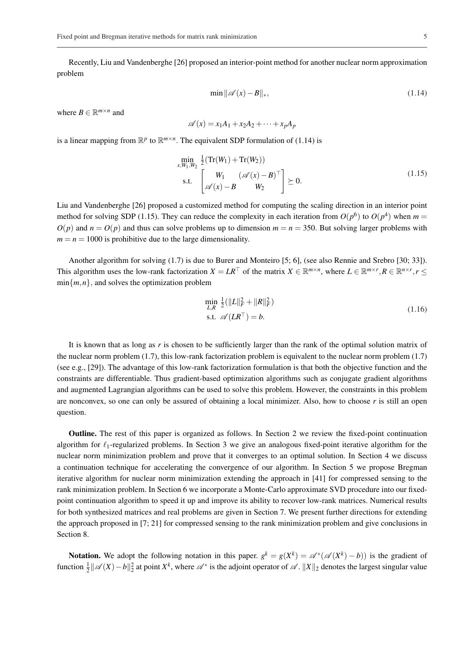Recently, Liu and Vandenberghe [26] proposed an interior-point method for another nuclear norm approximation problem

$$
\min \| \mathscr{A}(x) - B \|_{*},\tag{1.14}
$$

where  $B \in \mathbb{R}^{m \times n}$  and

$$
\mathscr{A}(x) = x_1 A_1 + x_2 A_2 + \dots + x_p A_p
$$

is a linear mapping from  $\mathbb{R}^p$  to  $\mathbb{R}^{m \times n}$ . The equivalent SDP formulation of (1.14) is

$$
\min_{x, W_1, W_2} \frac{1}{2} (\text{Tr}(W_1) + \text{Tr}(W_2)) \text{s.t.} \quad \begin{bmatrix} W_1 & (\mathscr{A}(x) - B)^{\top} \\ \mathscr{A}(x) - B & W_2 \end{bmatrix} \succeq 0.
$$
\n(1.15)

Liu and Vandenberghe [26] proposed a customized method for computing the scaling direction in an interior point method for solving SDP (1.15). They can reduce the complexity in each iteration from  $O(p^6)$  to  $O(p^4)$  when  $m =$  $O(p)$  and  $n = O(p)$  and thus can solve problems up to dimension  $m = n = 350$ . But solving larger problems with  $m = n = 1000$  is prohibitive due to the large dimensionality.

Another algorithm for solving (1.7) is due to Burer and Monteiro [5; 6], (see also Rennie and Srebro [30; 33]). This algorithm uses the low-rank factorization  $X = LR^\top$  of the matrix  $X \in \mathbb{R}^{m \times n}$ , where  $L \in \mathbb{R}^{m \times r}$ ,  $R \in \mathbb{R}^{n \times r}$ ,  $r \leq$  $\min\{m, n\}$ , and solves the optimization problem

$$
\min_{L,R} \frac{1}{2} (||L||_F^2 + ||R||_F^2)
$$
  
s.t.  $\mathscr{A}(LR^\top) = b.$  (1.16)

It is known that as long as *r* is chosen to be sufficiently larger than the rank of the optimal solution matrix of the nuclear norm problem (1.7), this low-rank factorization problem is equivalent to the nuclear norm problem (1.7) (see e.g., [29]). The advantage of this low-rank factorization formulation is that both the objective function and the constraints are differentiable. Thus gradient-based optimization algorithms such as conjugate gradient algorithms and augmented Lagrangian algorithms can be used to solve this problem. However, the constraints in this problem are nonconvex, so one can only be assured of obtaining a local minimizer. Also, how to choose *r* is still an open question.

Outline. The rest of this paper is organized as follows. In Section 2 we review the fixed-point continuation algorithm for  $\ell_1$ -regularized problems. In Section 3 we give an analogous fixed-point iterative algorithm for the nuclear norm minimization problem and prove that it converges to an optimal solution. In Section 4 we discuss a continuation technique for accelerating the convergence of our algorithm. In Section 5 we propose Bregman iterative algorithm for nuclear norm minimization extending the approach in [41] for compressed sensing to the rank minimization problem. In Section 6 we incorporate a Monte-Carlo approximate SVD procedure into our fixedpoint continuation algorithm to speed it up and improve its ability to recover low-rank matrices. Numerical results for both synthesized matrices and real problems are given in Section 7. We present further directions for extending the approach proposed in [7; 21] for compressed sensing to the rank minimization problem and give conclusions in Section 8.

Notation. We adopt the following notation in this paper.  $g^k = g(X^k) = \mathcal{A}^*(\mathcal{A}(X^k) - b)$  is the gradient of function  $\frac{1}{2} \|\mathscr{A}(X) - b\|_2^2$  at point  $X^k$ , where  $\mathscr{A}^*$  is the adjoint operator of  $\mathscr{A}$ .  $\|X\|_2$  denotes the largest singular value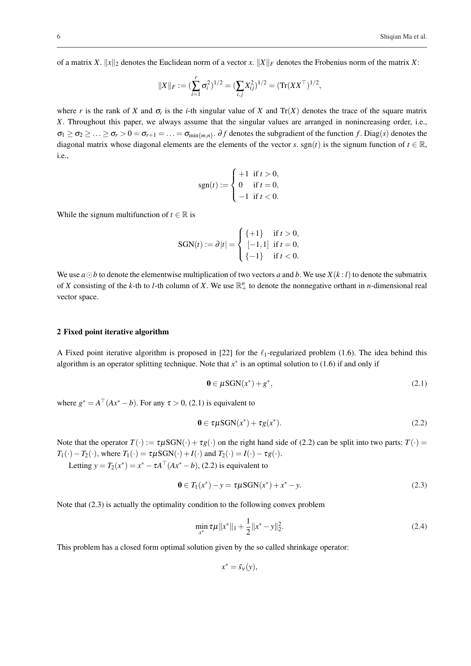of a matrix *X*.  $||x||_2$  denotes the Euclidean norm of a vector *x*.  $||X||_F$  denotes the Frobenius norm of the matrix *X*:

$$
||X||_F := (\sum_{i=1}^r \sigma_i^2)^{1/2} = (\sum_{i,j} X_{ij}^2)^{1/2} = (\text{Tr}(XX^{\top})^{1/2},
$$

where *r* is the rank of *X* and  $\sigma_i$  is the *i*-th singular value of *X* and  $Tr(X)$  denotes the trace of the square matrix *X*. Throughout this paper, we always assume that the singular values are arranged in nonincreasing order, i.e.,  $\sigma_1 \ge \sigma_2 \ge \ldots \ge \sigma_r > 0 = \sigma_{r+1} = \ldots = \sigma_{\min\{m,n\}}$ .  $\partial f$  denotes the subgradient of the function f. Diag(s) denotes the diagonal matrix whose diagonal elements are the elements of the vector *s*. sgn(*t*) is the signum function of  $t \in \mathbb{R}$ , i.e.,

$$
sgn(t) := \begin{cases} +1 & \text{if } t > 0, \\ 0 & \text{if } t = 0, \\ -1 & \text{if } t < 0. \end{cases}
$$

While the signum multifunction of  $t \in \mathbb{R}$  is

$$
SGN(t) := \partial |t| = \begin{cases} \{+1\} & \text{if } t > 0, \\ [-1,1] & \text{if } t = 0, \\ \{-1\} & \text{if } t < 0. \end{cases}
$$

We use  $a \odot b$  to denote the elementwise multiplication of two vectors *a* and *b*. We use  $X(k: l)$  to denote the submatrix of *X* consisting of the *k*-th to *l*-th column of *X*. We use  $\mathbb{R}^n_+$  to denote the nonnegative orthant in *n*-dimensional real vector space.

#### 2 Fixed point iterative algorithm

A Fixed point iterative algorithm is proposed in [22] for the  $\ell_1$ -regularized problem (1.6). The idea behind this algorithm is an operator splitting technique. Note that  $x^*$  is an optimal solution to (1.6) if and only if

$$
\mathbf{0} \in \mu\text{SGN}(x^*) + g^*,\tag{2.1}
$$

where  $g^* = A^{\top} (Ax^* - b)$ . For any  $\tau > 0$ , (2.1) is equivalent to

$$
\mathbf{0} \in \tau \mu \text{SGN}(x^*) + \tau g(x^*). \tag{2.2}
$$

Note that the operator  $T(\cdot) := \tau \mu SGN(\cdot) + \tau g(\cdot)$  on the right hand side of (2.2) can be split into two parts:  $T(\cdot)$  =  $T_1(\cdot) - T_2(\cdot)$ , where  $T_1(\cdot) = \tau \mu \text{SGN}(\cdot) + I(\cdot)$  and  $T_2(\cdot) = I(\cdot) - \tau g(\cdot)$ .

Letting  $y = T_2(x^*) = x^* - \tau A^T(Ax^* - b)$ , (2.2) is equivalent to

$$
0 \in T_1(x^*) - y = \tau \mu \text{SGN}(x^*) + x^* - y. \tag{2.3}
$$

Note that (2.3) is actually the optimality condition to the following convex problem

$$
\min_{x^*} \tau \mu \|x^*\|_1 + \frac{1}{2} \|x^* - y\|_2^2. \tag{2.4}
$$

This problem has a closed form optimal solution given by the so called shrinkage operator:

 $x^* = \tilde{s}_V(y),$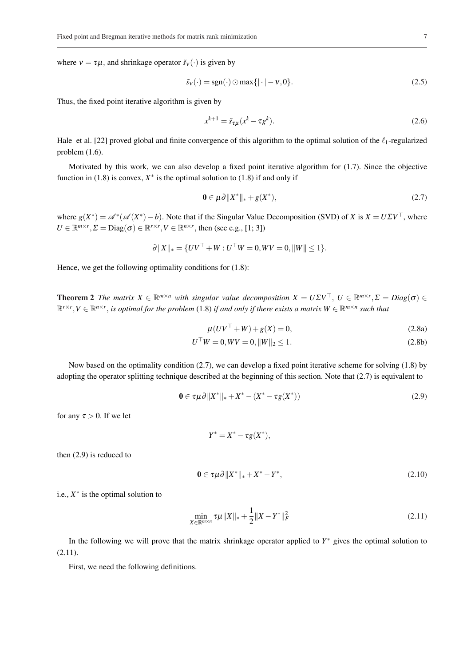where  $v = \tau \mu$ , and shrinkage operator  $\tilde{s}_v(\cdot)$  is given by

$$
\tilde{s}_{\mathbf{v}}(\cdot) = \text{sgn}(\cdot) \odot \max\{|\cdot| - \mathbf{v}, 0\}.\tag{2.5}
$$

Thus, the fixed point iterative algorithm is given by

$$
x^{k+1} = \tilde{s}_{\tau\mu}(x^k - \tau g^k). \tag{2.6}
$$

Hale et al. [22] proved global and finite convergence of this algorithm to the optimal solution of the  $\ell_1$ -regularized problem (1.6).

Motivated by this work, we can also develop a fixed point iterative algorithm for (1.7). Since the objective function in (1.8) is convex,  $X^*$  is the optimal solution to (1.8) if and only if

$$
\mathbf{0} \in \mu \partial \|X^*\|_* + g(X^*),\tag{2.7}
$$

where  $g(X^*) = \mathscr{A}^*(\mathscr{A}(X^*) - b)$ . Note that if the Singular Value Decomposition (SVD) of *X* is  $X = U\Sigma V^{\top}$ , where  $U \in \mathbb{R}^{m \times r}, \Sigma = \text{Diag}(\sigma) \in \mathbb{R}^{r \times r}, V \in \mathbb{R}^{n \times r}$ , then (see e.g., [1; 3])

$$
\partial ||X||_* = \{UV^\top + W : U^\top W = 0, WV = 0, ||W|| \le 1\}.
$$

Hence, we get the following optimality conditions for (1.8):

**Theorem 2** The matrix  $X \in \mathbb{R}^{m \times n}$  with singular value decomposition  $X = U \Sigma V^{\top}$ ,  $U \in \mathbb{R}^{m \times r}$ ,  $\Sigma = Diag(\sigma) \in$  $\mathbb{R}^{r\times r}$ ,  $V \in \mathbb{R}^{n\times r}$ , is optimal for the problem (1.8) if and only if there exists a matrix  $W \in \mathbb{R}^{m\times n}$  such that

$$
\mu(UV^{\top} + W) + g(X) = 0, \tag{2.8a}
$$

$$
U^{\top}W = 0, WV = 0, ||W||_2 \le 1.
$$
\n(2.8b)

Now based on the optimality condition (2.7), we can develop a fixed point iterative scheme for solving (1.8) by adopting the operator splitting technique described at the beginning of this section. Note that (2.7) is equivalent to

$$
\mathbf{0} \in \tau \mu \partial \|X^*\|_* + X^* - (X^* - \tau g(X^*)) \tag{2.9}
$$

for any  $\tau > 0$ . If we let

$$
Y^* = X^* - \tau g(X^*),
$$

then (2.9) is reduced to

$$
\mathbf{0} \in \tau \mu \partial \|X^*\|_* + X^* - Y^*,\tag{2.10}
$$

i.e.,  $X^*$  is the optimal solution to

$$
\min_{X \in \mathbb{R}^{m \times n}} \tau \mu \|X\|_{*} + \frac{1}{2} \|X - Y^*\|_{F}^{2}
$$
\n(2.11)

In the following we will prove that the matrix shrinkage operator applied to *Y* <sup>∗</sup> gives the optimal solution to (2.11).

First, we need the following definitions.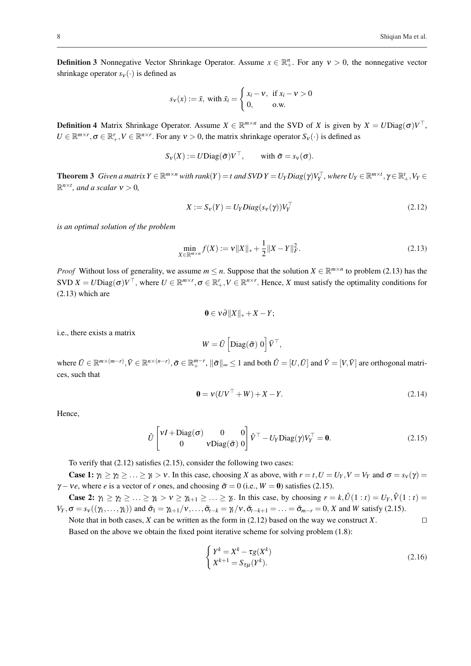**Definition 3** Nonnegative Vector Shrinkage Operator. Assume  $x \in \mathbb{R}^n_+$ . For any  $v > 0$ , the nonnegative vector shrinkage operator  $s_v(\cdot)$  is defined as

$$
s_{\mathbf{v}}(x) := \bar{x}, \text{ with } \bar{x}_i = \begin{cases} x_i - \mathbf{v}, & \text{if } x_i - \mathbf{v} > 0 \\ 0, & \text{o.w.} \end{cases}
$$

**Definition 4** Matrix Shrinkage Operator. Assume  $X \in \mathbb{R}^{m \times n}$  and the SVD of *X* is given by  $X = U\text{Diag}(\sigma)V^{\top}$ ,  $U \in \mathbb{R}^{m \times r}$ ,  $\sigma \in \mathbb{R}^r_+$ ,  $V \in \mathbb{R}^{n \times r}$ . For any  $v > 0$ , the matrix shrinkage operator  $S_v(\cdot)$  is defined as

$$
S_V(X) := U \text{Diag}(\bar{\sigma}) V^{\top}, \quad \text{with } \bar{\sigma} = s_V(\sigma).
$$

**Theorem 3** Given a matrix  $Y \in \mathbb{R}^{m \times n}$  with rank $(Y) = t$  and  $SVDY = U_YDiag(\gamma)V_Y^{\top}$ , where  $U_Y \in \mathbb{R}^{m \times t}$ ,  $\gamma \in \mathbb{R}_+^t$ ,  $V_Y \in$  $\mathbb{R}^{n \times t}$ *, and a scalar*  $v > 0$ *,* 

$$
X := S_V(Y) = U_Y Diag(s_V(\gamma))V_Y^\top
$$
\n(2.12)

*is an optimal solution of the problem*

$$
\min_{X \in \mathbb{R}^{m \times n}} f(X) := v \|X\|_{*} + \frac{1}{2} \|X - Y\|_{F}^{2}.
$$
\n(2.13)

*Proof* Without loss of generality, we assume  $m \leq n$ . Suppose that the solution  $X \in \mathbb{R}^{m \times n}$  to problem (2.13) has the  $SVD X = UDiag(\sigma)V^{\top}$ , where  $U \in \mathbb{R}^{m \times r}$ ,  $\sigma \in \mathbb{R}^r_+$ ,  $V \in \mathbb{R}^{n \times r}$ . Hence, X must satisfy the optimality conditions for (2.13) which are

$$
0\in v\partial\|X\|_{*}+X-Y;
$$

i.e., there exists a matrix

$$
W = \bar{U} \left[ \text{Diag}(\bar{\sigma}) \ 0 \right] \bar{V}^{\top},
$$

where  $\bar{U} \in \mathbb{R}^{m \times (m-r)}$ ,  $\bar{V} \in \mathbb{R}^{n \times (n-r)}$ ,  $\bar{\sigma} \in \mathbb{R}^{m-r}$ ,  $\|\bar{\sigma}\|_{\infty} \leq 1$  and both  $\hat{U} = [U, \bar{U}]$  and  $\hat{V} = [V, \bar{V}]$  are orthogonal matrices, such that

$$
0 = v(UV^{\top} + W) + X - Y.
$$
 (2.14)

Hence,

$$
\hat{U}\begin{bmatrix} vI + \text{Diag}(\sigma) & 0 & 0 \\ 0 & v\text{Diag}(\bar{\sigma}) & 0 \end{bmatrix} \hat{V}^{\top} - U_{Y}\text{Diag}(\gamma)V_{Y}^{\top} = \mathbf{0}.
$$
 (2.15)

To verify that (2.12) satisfies (2.15), consider the following two cases:

Case 1:  $\gamma_1 \geq \gamma_2 \geq \ldots \geq \gamma_t > v$ . In this case, choosing *X* as above, with  $r = t$ ,  $U = U_Y$ ,  $V = V_Y$  and  $\sigma = s_Y(\gamma) =$  $\gamma$  – *ve*, where *e* is a vector of *r* ones, and choosing  $\bar{\sigma} = 0$  (i.e.,  $W = 0$ ) satisfies (2.15).

**Case 2:**  $\gamma_1 \geq \gamma_2 \geq \ldots \geq \gamma_k > v \geq \gamma_{k+1} \geq \ldots \geq \gamma_t$ . In this case, by choosing  $r = k, \hat{U}(1:t) = U_Y, \hat{V}(1:t) =$  $V_Y$ ,  $\sigma = s_Y((\gamma_1,\ldots,\gamma_k))$  and  $\bar{\sigma}_1 = \gamma_{k+1}/v,\ldots,\bar{\sigma}_{t-k} = \gamma_t/v,\bar{\sigma}_{t-k+1} = \ldots = \bar{\sigma}_{m-r} = 0$ , *X* and *W* satisfy (2.15).

Note that in both cases, *X* can be written as the form in (2.12) based on the way we construct *X*. Based on the above we obtain the fixed point iterative scheme for solving problem (1.8):

$$
\begin{cases} Y^k = X^k - \tau g(X^k) \\ X^{k+1} = S_{\tau\mu}(Y^k). \end{cases}
$$
 (2.16)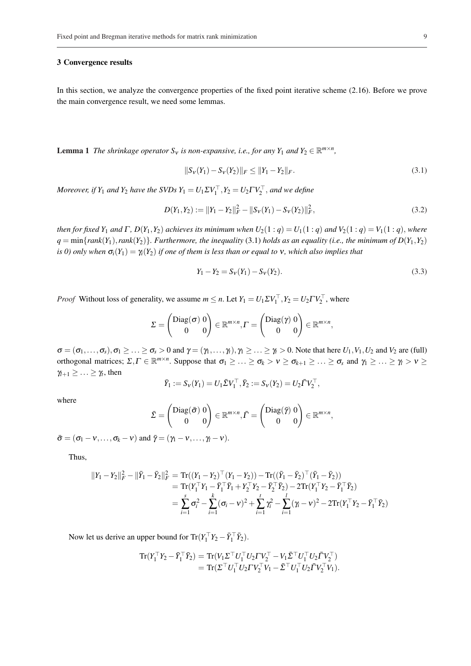#### 3 Convergence results

In this section, we analyze the convergence properties of the fixed point iterative scheme (2.16). Before we prove the main convergence result, we need some lemmas.

**Lemma 1** The shrinkage operator  $S_v$  is non-expansive, i.e., for any  $Y_1$  and  $Y_2 \in \mathbb{R}^{m \times n}$ ,

$$
||S_V(Y_1) - S_V(Y_2)||_F \le ||Y_1 - Y_2||_F. \tag{3.1}
$$

*Moreover, if*  $Y_1$  *and*  $Y_2$  *have the SVDs*  $Y_1 = U_1 \Sigma V_1^\top$ ,  $Y_2 = U_2 \Gamma V_2^\top$ *, and we define* 

$$
D(Y_1, Y_2) := ||Y_1 - Y_2||_F^2 - ||S_V(Y_1) - S_V(Y_2)||_F^2,
$$
\n(3.2)

*then for fixed*  $Y_1$  *and*  $\Gamma$ ,  $D(Y_1, Y_2)$  *achieves its minimum when*  $U_2(1:q) = U_1(1:q)$  *and*  $V_2(1:q) = V_1(1:q)$ , *where*  $q = \min\{rank(Y_1), rank(Y_2)\}$ *. Furthermore, the inequality* (3.1) *holds as an equality (i.e., the minimum of D(Y<sub>1</sub>, Y<sub>2</sub>) is 0) only when*  $\sigma_i(Y_1) = \gamma_i(Y_2)$  *if one of them is less than or equal to* v, which also implies that

$$
Y_1 - Y_2 = S_V(Y_1) - S_V(Y_2). \tag{3.3}
$$

*Proof* Without loss of generality, we assume  $m \le n$ . Let  $Y_1 = U_1 \Sigma V_1^{\top}$ ,  $Y_2 = U_2 \Gamma V_2^{\top}$ , where

$$
\Sigma = \begin{pmatrix} \text{Diag}(\sigma) & 0 \\ 0 & 0 \end{pmatrix} \in \mathbb{R}^{m \times n}, \Gamma = \begin{pmatrix} \text{Diag}(\gamma) & 0 \\ 0 & 0 \end{pmatrix} \in \mathbb{R}^{m \times n},
$$

 $\sigma = (\sigma_1, \ldots, \sigma_s), \sigma_1 \geq \ldots \geq \sigma_s > 0$  and  $\gamma = (\gamma_1, \ldots, \gamma_t), \gamma_1 \geq \ldots \geq \gamma_t > 0$ . Note that here  $U_1, V_1, U_2$  and  $V_2$  are (full) orthogonal matrices;  $\Sigma, \Gamma \in \mathbb{R}^{m \times n}$ . Suppose that  $\sigma_1 \geq \ldots \geq \sigma_k > \nu \geq \sigma_{k+1} \geq \ldots \geq \sigma_s$  and  $\gamma_1 \geq \ldots \geq \gamma_l > \nu \geq$  $\gamma_{l+1} \geq \ldots \geq \gamma_t$ , then

$$
\bar{Y}_1 := S_{\nu}(Y_1) = U_1 \bar{\Sigma} V_1^{\top}, \bar{Y}_2 := S_{\nu}(Y_2) = U_2 \bar{\Gamma} V_2^{\top},
$$

where

$$
\bar{\Sigma} = \begin{pmatrix} \text{Diag}(\bar{\sigma}) & 0 \\ 0 & 0 \end{pmatrix} \in \mathbb{R}^{m \times n}, \bar{\Gamma} = \begin{pmatrix} \text{Diag}(\bar{\gamma}) & 0 \\ 0 & 0 \end{pmatrix} \in \mathbb{R}^{m \times n},
$$

 $\bar{\sigma} = (\sigma_1 - v, \ldots, \sigma_k - v)$  and  $\bar{\gamma} = (\gamma_1 - v, \ldots, \gamma_l - v)$ .

Thus,

$$
\begin{aligned} ||Y_1 - Y_2||_F^2 - ||\bar{Y}_1 - \bar{Y}_2||_F^2 &= \text{Tr}((Y_1 - Y_2)^\top (Y_1 - Y_2)) - \text{Tr}((\bar{Y}_1 - \bar{Y}_2)^\top (\bar{Y}_1 - \bar{Y}_2)) \\ &= \text{Tr}(Y_1^\top Y_1 - \bar{Y}_1^\top \bar{Y}_1 + Y_2^\top Y_2 - \bar{Y}_2^\top \bar{Y}_2) - 2\text{Tr}(Y_1^\top Y_2 - \bar{Y}_1^\top \bar{Y}_2) \\ &= \sum_{i=1}^s \sigma_i^2 - \sum_{i=1}^k (\sigma_i - v)^2 + \sum_{i=1}^t \gamma_i^2 - \sum_{i=1}^l (\gamma_i - v)^2 - 2\text{Tr}(Y_1^\top Y_2 - \bar{Y}_1^\top \bar{Y}_2) \end{aligned}
$$

Now let us derive an upper bound for  $Tr(Y_1^\top Y_2 - \bar{Y}_1^\top \bar{Y}_2)$ .

$$
\begin{aligned} \mathrm{Tr}(Y_1^\top Y_2 - \bar{Y}_1^\top \bar{Y}_2) &= \mathrm{Tr}(V_1 \Sigma^\top U_1^\top U_2 \Gamma V_2^\top - V_1 \bar{\Sigma}^\top U_1^\top U_2 \bar{\Gamma} V_2^\top) \\ &= \mathrm{Tr}(\Sigma^\top U_1^\top U_2 \Gamma V_2^\top V_1 - \bar{\Sigma}^\top U_1^\top U_2 \bar{\Gamma} V_2^\top V_1). \end{aligned}
$$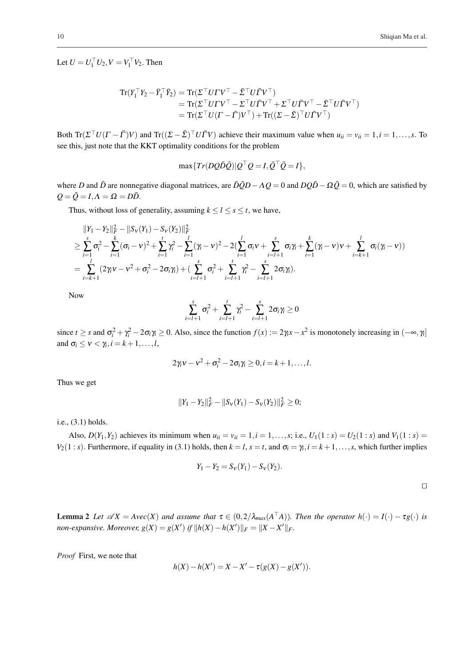$\Box$ 

Let  $U = U_1^{\top} U_2, V = V_1^{\top} V_2$ . Then

$$
\begin{aligned} \mathrm{Tr}(Y_1^\top Y_2 - \bar{Y}_1^\top \bar{Y}_2) &= \mathrm{Tr}(\Sigma^\top U \Gamma V^\top - \bar{\Sigma}^\top U \bar{\Gamma} V^\top) \\ &= \mathrm{Tr}(\Sigma^\top U \Gamma V^\top - \Sigma^\top U \bar{\Gamma} V^\top + \Sigma^\top U \bar{\Gamma} V^\top - \bar{\Sigma}^\top U \bar{\Gamma} V^\top) \\ &= \mathrm{Tr}(\Sigma^\top U (\Gamma - \bar{\Gamma}) V^\top) + \mathrm{Tr}((\Sigma - \bar{\Sigma})^\top U \bar{\Gamma} V^\top) \end{aligned}
$$

Both  $Tr(\Sigma^{\top} U(\Gamma - \overline{\Gamma})V)$  and  $Tr((\Sigma - \overline{\Sigma})^{\top} U \overline{\Gamma}V)$  achieve their maximum value when  $u_{ii} = v_{ii} = 1, i = 1, \ldots, s$ . To see this, just note that the KKT optimality conditions for the problem

$$
\max\{Tr(DQ\bar{D}\bar{Q})|Q^{\top}Q=I,\bar{Q}^{\top}\bar{Q}=I\},\
$$

where *D* and  $\bar{D}$  are nonnegative diagonal matrices, are  $\bar{D}\bar{Q}D - \Lambda Q = 0$  and  $DQ\bar{D} - \Omega \bar{Q} = 0$ , which are satisfied by  $Q = \overline{Q} = I, \Lambda = \Omega = D\overline{D}.$ 

Thus, without loss of generality, assuming  $k \le l \le s \le t$ , we have,

$$
\|Y_1 - Y_2\|_F^2 - \|S_V(Y_1) - S_V(Y_2)\|_F^2
$$
  
\n
$$
\geq \sum_{i=1}^s \sigma_i^2 - \sum_{i=1}^k (\sigma_i - v)^2 + \sum_{i=1}^t \gamma_i^2 - \sum_{i=1}^l (\gamma_i - v)^2 - 2(\sum_{i=1}^l \sigma_i v + \sum_{i=l+1}^s \sigma_i \gamma_i + \sum_{i=1}^k (\gamma_i - v)v + \sum_{i=k+1}^l \sigma_i (\gamma_i - v))
$$
  
\n
$$
= \sum_{i=k+1}^l (2\gamma_i v - v^2 + \sigma_i^2 - 2\sigma_i \gamma_i) + (\sum_{i=l+1}^s \sigma_i^2 + \sum_{i=l+1}^t \gamma_i^2 - \sum_{i=l+1}^s 2\sigma_i \gamma_i).
$$

Now

$$
\sum_{i=l+1}^{s} \sigma_i^2 + \sum_{i=l+1}^{t} \gamma_i^2 - \sum_{i=l+1}^{s} 2\sigma_i \gamma_i \ge 0
$$

since  $t \geq s$  and  $\sigma_i^2 + \gamma_i^2 - 2\sigma_i \gamma_i \geq 0$ . Also, since the function  $f(x) := 2\gamma_i x - x^2$  is monotonely increasing in  $(-\infty, \gamma_i]$ and  $\sigma_i \leq v < \gamma_i, i = k+1, \ldots, l$ ,

$$
2\gamma_i v - v^2 + \sigma_i^2 - 2\sigma_i \gamma_i \geq 0, i = k+1,\ldots,l.
$$

Thus we get

$$
||Y_1 - Y_2||_F^2 - ||S_v(Y_1) - S_v(Y_2)||_F^2 \ge 0;
$$

i.e., (3.1) holds.

Also,  $D(Y_1, Y_2)$  achieves its minimum when  $u_{ii} = v_{ii} = 1, i = 1, ..., s$ ; i.e.,  $U_1(1 : s) = U_2(1 : s)$  and  $V_1(1 : s) =$ *V*<sub>2</sub>(1 : *s*). Furthermore, if equality in (3.1) holds, then  $k = l$ ,  $s = t$ , and  $\sigma_i = \gamma_i$ ,  $i = k + 1, \ldots, s$ , which further implies

$$
Y_1 - Y_2 = S_V(Y_1) - S_V(Y_2).
$$

**Lemma 2** Let  $\mathscr{A}X = Avec(X)$  and assume that  $\tau \in (0, 2/\lambda_{max}(A^{\top}A))$ . Then the operator  $h(\cdot) = I(\cdot) - \tau g(\cdot)$  is *non-expansive. Moreover,*  $g(X) = g(X')$  *if*  $||h(X) - h(X')||_F = ||X - X'||_F$ .

*Proof* First, we note that

$$
h(X) - h(X') = X - X' - \tau(g(X) - g(X')).
$$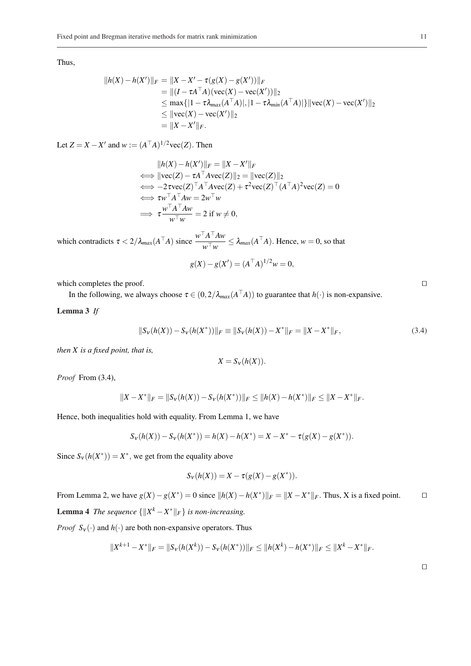Thus,

$$
||h(X) - h(X')||_F = ||X - X' - \tau(g(X) - g(X'))||_F
$$
  
= ||(I - \tau A^T A)(vec(X) - vec(X'))||\_2  

$$
\leq \max\{|1 - \tau \lambda_{max}(A^T A)|, |1 - \tau \lambda_{min}(A^T A)|\}||vec(X) - vec(X')||_2
$$
  

$$
\leq ||vec(X) - vec(X')||_2
$$
  
= ||X - X'||\_F.

Let  $Z = X - X'$  and  $w := (A^T A)^{1/2} \text{vec}(Z)$ . Then

$$
||h(X) - h(X')||_F = ||X - X'||_F
$$
  
\n
$$
\iff ||\text{vec}(Z) - \tau A^\top A \text{vec}(Z)||_2 = ||\text{vec}(Z)||_2
$$
  
\n
$$
\iff -2\text{vec}(Z)^\top A^\top A \text{vec}(Z) + \tau^2 \text{vec}(Z)^\top (A^\top A)^2 \text{vec}(Z) = 0
$$
  
\n
$$
\iff \tau w^\top A^\top A w = 2w^\top w
$$
  
\n
$$
\Rightarrow \tau \frac{w^\top A^\top A w}{w^\top w} = 2 \text{ if } w \neq 0,
$$

which contradicts  $\tau < 2/\lambda_{max}(A^{\top}A)$  since  $\frac{w^{\top}A^{\top}Aw}{\top}$  $\frac{A}{w^{\top}w} \leq \lambda_{max}(A^{\top}A)$ . Hence,  $w = 0$ , so that

$$
g(X) - g(X') = (A^{\top}A)^{1/2}w = 0,
$$

which completes the proof.  $\Box$ 

In the following, we always choose  $\tau \in (0, 2/\lambda_{max}(A^{\top}A))$  to guarantee that  $h(\cdot)$  is non-expansive.

## Lemma 3 *If*

$$
||S_V(h(X)) - S_V(h(X^*))||_F \equiv ||S_V(h(X)) - X^*||_F = ||X - X^*||_F,
$$
\n(3.4)

*then X is a fixed point, that is,*

$$
X = S_{\mathcal{V}}(h(X)).
$$

*Proof* From (3.4),

$$
||X - X^*||_F = ||S_v(h(X)) - S_v(h(X^*))||_F \le ||h(X) - h(X^*)||_F \le ||X - X^*||_F.
$$

Hence, both inequalities hold with equality. From Lemma 1, we have

$$
S_V(h(X)) - S_V(h(X^*)) = h(X) - h(X^*) = X - X^* - \tau(g(X) - g(X^*)).
$$

Since  $S_v(h(X^*)) = X^*$ , we get from the equality above

$$
S_V(h(X)) = X - \tau(g(X) - g(X^*)).
$$

From Lemma 2, we have  $g(X) - g(X^*) = 0$  since  $||h(X) - h(X^*)||_F = ||X - X^*||_F$ . Thus, X is a fixed point. □ **Lemma 4** *The sequence*  $\{\Vert X^k - X^* \Vert_F\}$  *is non-increasing.* 

*Proof*  $S_v(\cdot)$  and  $h(\cdot)$  are both non-expansive operators. Thus

$$
||X^{k+1}-X^*||_F=||S_v(h(X^k))-S_v(h(X^*))||_F\leq ||h(X^k)-h(X^*)||_F\leq ||X^k-X^*||_F.
$$

 $\Box$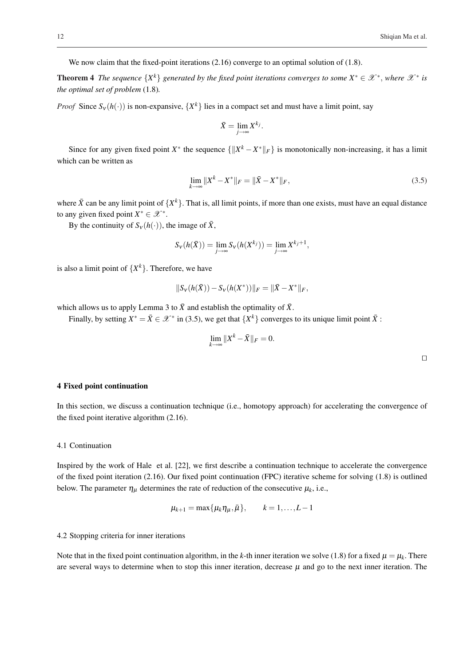We now claim that the fixed-point iterations  $(2.16)$  converge to an optimal solution of  $(1.8)$ .

**Theorem 4** The sequence  $\{X^k\}$  generated by the fixed point iterations converges to some  $X^* \in \mathcal{X}^*$ , where  $\mathcal{X}^*$  is *the optimal set of problem* (1.8)*.*

*Proof* Since  $S_v(h(\cdot))$  is non-expansive,  $\{X^k\}$  lies in a compact set and must have a limit point, say

$$
\bar{X} = \lim_{j \to \infty} X^{k_j}.
$$

Since for any given fixed point  $X^*$  the sequence  $\{\|X^k - X^*\|_F\}$  is monotonically non-increasing, it has a limit which can be written as

$$
\lim_{k \to \infty} \|X^k - X^*\|_F = \|\bar{X} - X^*\|_F,\tag{3.5}
$$

where  $\bar{X}$  can be any limit point of  $\{X^k\}$ . That is, all limit points, if more than one exists, must have an equal distance to any given fixed point  $X^* \in \mathcal{X}^*$ .

By the continuity of  $S_v(h(\cdot))$ , the image of  $\bar{X}$ ,

$$
S_V(h(\bar{X})) = \lim_{j \to \infty} S_V(h(X^{k_j})) = \lim_{j \to \infty} X^{k_j+1},
$$

is also a limit point of  $\{X^k\}$ . Therefore, we have

$$
||S_{V}(h(\bar{X})) - S_{V}(h(X^*))||_F = ||\bar{X} - X^*||_F,
$$

which allows us to apply Lemma 3 to  $\bar{X}$  and establish the optimality of  $\bar{X}$ .

Finally, by setting  $X^* = \overline{X} \in \mathcal{X}^*$  in (3.5), we get that  $\{X^k\}$  converges to its unique limit point  $\overline{X}$ :

$$
\lim_{k\to\infty}||X^k-\bar{X}||_F=0.
$$

## 4 Fixed point continuation

In this section, we discuss a continuation technique (i.e., homotopy approach) for accelerating the convergence of the fixed point iterative algorithm (2.16).

#### 4.1 Continuation

Inspired by the work of Hale et al. [22], we first describe a continuation technique to accelerate the convergence of the fixed point iteration  $(2.16)$ . Our fixed point continuation (FPC) iterative scheme for solving  $(1.8)$  is outlined below. The parameter  $\eta_{\mu}$  determines the rate of reduction of the consecutive  $\mu_k$ , i.e.,

$$
\mu_{k+1} = \max{\mu_k \eta_\mu, \bar{\mu}}
$$
,  $k = 1,...,L-1$ 

#### 4.2 Stopping criteria for inner iterations

Note that in the fixed point continuation algorithm, in the *k*-th inner iteration we solve (1.8) for a fixed  $\mu = \mu_k$ . There are several ways to determine when to stop this inner iteration, decrease  $\mu$  and go to the next inner iteration. The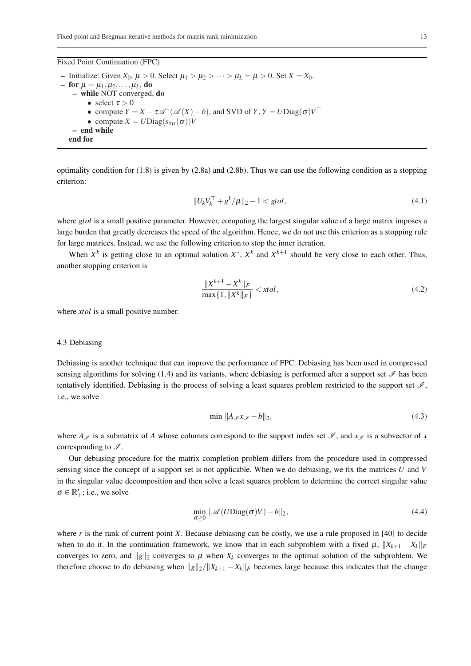Fixed Point Continuation (FPC)

– Initialize: Given  $X_0$ ,  $\bar{\mu} > 0$ . Select  $\mu_1 > \mu_2 > \cdots > \mu_L = \bar{\mu} > 0$ . Set  $X = X_0$ . – for  $\mu = \mu_1, \mu_2, \ldots, \mu_L$ , do – while NOT converged, do • select  $\tau > 0$ • compute  $Y = X - \tau \mathcal{A}^* (\mathcal{A}(X) - b)$ , and SVD of  $Y, Y = U \text{Diag}(\sigma) V^\top$ • compute  $X = U\text{Diag}(s_{\tau\mu}(\sigma))V^{\top}$ – end while end for

optimality condition for  $(1.8)$  is given by  $(2.8a)$  and  $(2.8b)$ . Thus we can use the following condition as a stopping criterion:

$$
||U_k V_k^\top + g^k / \mu||_2 - 1 < \text{gtol},\tag{4.1}
$$

where *gtol* is a small positive parameter. However, computing the largest singular value of a large matrix imposes a large burden that greatly decreases the speed of the algorithm. Hence, we do not use this criterion as a stopping rule for large matrices. Instead, we use the following criterion to stop the inner iteration.

When  $X^k$  is getting close to an optimal solution  $X^*$ ,  $X^k$  and  $X^{k+1}$  should be very close to each other. Thus, another stopping criterion is

$$
\frac{\|X^{k+1} - X^k\|_F}{\max\{1, \|X^k\|_F\}} < xtol,\tag{4.2}
$$

where *xtol* is a small positive number.

#### 4.3 Debiasing

Debiasing is another technique that can improve the performance of FPC. Debiasing has been used in compressed sensing algorithms for solving (1.4) and its variants, where debiasing is performed after a support set  $\mathcal I$  has been tentatively identified. Debiasing is the process of solving a least squares problem restricted to the support set  $\mathcal{I}$ , i.e., we solve

$$
\min \|A_{\mathscr{I}} x_{\mathscr{I}} - b\|_2,\tag{4.3}
$$

where  $A_{\mathscr{I}}$  is a submatrix of *A* whose columns correspond to the support index set  $\mathscr{I}$ , and  $x_{\mathscr{I}}$  is a subvector of *x* corresponding to  $\mathscr{I}$ .

Our debiasing procedure for the matrix completion problem differs from the procedure used in compressed sensing since the concept of a support set is not applicable. When we do debiasing, we fix the matrices *U* and *V* in the singular value decomposition and then solve a least squares problem to determine the correct singular value  $\sigma \in \mathbb{R}_+^r$ ; i.e., we solve

$$
\min_{\sigma \ge 0} \|\mathscr{A}(U \text{Diag}(\sigma)V) - b\|_2,\tag{4.4}
$$

where *r* is the rank of current point *X*. Because debiasing can be costly, we use a rule proposed in [40] to decide when to do it. In the continuation framework, we know that in each subproblem with a fixed  $\mu$ ,  $||X_{k+1} - X_k||_F$ converges to zero, and  $\|g\|_2$  converges to  $\mu$  when  $X_k$  converges to the optimal solution of the subproblem. We therefore choose to do debiasing when  $\|g\|_2 / \|X_{k+1} - X_k\|_F$  becomes large because this indicates that the change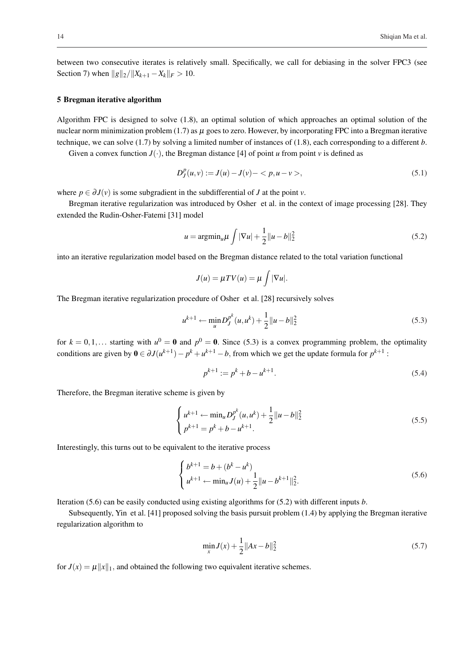between two consecutive iterates is relatively small. Specifically, we call for debiasing in the solver FPC3 (see Section 7) when  $||g||_2/||X_{k+1} - X_k||_F > 10$ .

#### 5 Bregman iterative algorithm

Algorithm FPC is designed to solve (1.8), an optimal solution of which approaches an optimal solution of the nuclear norm minimization problem (1.7) as  $\mu$  goes to zero. However, by incorporating FPC into a Bregman iterative technique, we can solve (1.7) by solving a limited number of instances of (1.8), each corresponding to a different *b*.

Given a convex function  $J(\cdot)$ , the Bregman distance [4] of point *u* from point *v* is defined as

$$
D_J^p(u, v) := J(u) - J(v) - \langle p, u - v \rangle, \tag{5.1}
$$

where  $p \in \partial J(v)$  is some subgradient in the subdifferential of *J* at the point *v*.

Bregman iterative regularization was introduced by Osher et al. in the context of image processing [28]. They extended the Rudin-Osher-Fatemi [31] model

$$
u = \operatorname{argmin}_{u} \mu \int |\nabla u| + \frac{1}{2} ||u - b||_2^2
$$
 (5.2)

into an iterative regularization model based on the Bregman distance related to the total variation functional

$$
J(u) = \mu T V(u) = \mu \int |\nabla u|.
$$

The Bregman iterative regularization procedure of Osher et al. [28] recursively solves

$$
u^{k+1} \leftarrow \min_{u} D_J^{p^k}(u, u^k) + \frac{1}{2} ||u - b||_2^2
$$
\n(5.3)

for  $k = 0, 1, \ldots$  starting with  $u^0 = \mathbf{0}$  and  $p^0 = \mathbf{0}$ . Since (5.3) is a convex programming problem, the optimality conditions are given by  $0 \in \partial J(u^{k+1}) - p^k + u^{k+1} - b$ , from which we get the update formula for  $p^{k+1}$ :

$$
p^{k+1} := p^k + b - u^{k+1}.\tag{5.4}
$$

Therefore, the Bregman iterative scheme is given by

$$
\begin{cases} u^{k+1} \leftarrow \min_{u} D_J^{p^k}(u, u^k) + \frac{1}{2} ||u - b||_2^2 \\ p^{k+1} = p^k + b - u^{k+1} . \end{cases} \tag{5.5}
$$

Interestingly, this turns out to be equivalent to the iterative process

$$
\begin{cases} b^{k+1} = b + (b^k - u^k) \\ u^{k+1} \leftarrow \min_u J(u) + \frac{1}{2} ||u - b^{k+1}||_2^2. \end{cases}
$$
 (5.6)

Iteration (5.6) can be easily conducted using existing algorithms for (5.2) with different inputs *b*.

Subsequently, Yin et al. [41] proposed solving the basis pursuit problem (1.4) by applying the Bregman iterative regularization algorithm to

$$
\min_{x} J(x) + \frac{1}{2} ||Ax - b||_2^2
$$
\n(5.7)

for  $J(x) = \mu ||x||_1$ , and obtained the following two equivalent iterative schemes.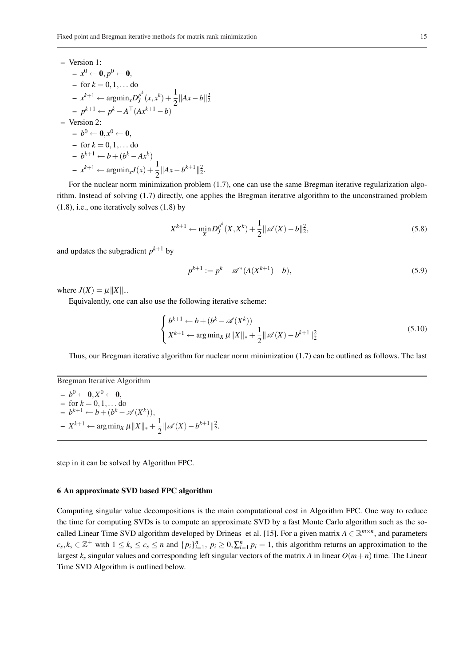- Version 1:  
\n- 
$$
x^0 \leftarrow 0, p^0 \leftarrow 0,
$$
  
\n- for  $k = 0, 1, ...$  do  
\n-  $x^{k+1} \leftarrow \operatorname{argmin}_x D_J^{p^k}(x, x^k) + \frac{1}{2} ||Ax - b||_2^2$   
\n-  $p^{k+1} \leftarrow p^k - A^{\top} (Ax^{k+1} - b)$   
\n- Version 2:  
\n-  $b^0 \leftarrow 0, x^0 \leftarrow 0,$   
\n- for  $k = 0, 1, ...$  do  
\n-  $b^{k+1} \leftarrow b + (b^k - Ax^k)$   
\n-  $x^{k+1} \leftarrow \operatorname{argmin}_x J(x) + \frac{1}{2} ||Ax - b^{k+1}||_2^2.$ 

For the nuclear norm minimization problem (1.7), one can use the same Bregman iterative regularization algorithm. Instead of solving (1.7) directly, one applies the Bregman iterative algorithm to the unconstrained problem (1.8), i.e., one iteratively solves (1.8) by

$$
X^{k+1} \leftarrow \min_{X} D_J^{p^k}(X, X^k) + \frac{1}{2} ||\mathscr{A}(X) - b||_2^2,
$$
\n(5.8)

and updates the subgradient  $p^{k+1}$  by

$$
p^{k+1} := p^k - \mathscr{A}^*(A(X^{k+1}) - b),\tag{5.9}
$$

where  $J(X) = \mu ||X||_{*}.$ 

Equivalently, one can also use the following iterative scheme:

$$
\begin{cases} b^{k+1} \leftarrow b + (b^k - \mathscr{A}(X^k)) \\ X^{k+1} \leftarrow \arg\min_X \mu \|X\|_{*} + \frac{1}{2} \|\mathscr{A}(X) - b^{k+1}\|_{2}^{2} \end{cases} \tag{5.10}
$$

Thus, our Bregman iterative algorithm for nuclear norm minimization (1.7) can be outlined as follows. The last

## Bregman Iterative Algorithm

 $- b^0 \leftarrow \mathbf{0}, X^0 \leftarrow \mathbf{0},$  $-$  for  $k = 0, 1, ...$  do  $-b^{k+1} \leftarrow b + (b^k - \mathcal{A}(X^k)),$  $- X^{k+1}$  ← arg min<sub>*X*</sub>  $μ ||X||_* + \frac{1}{2}$  $\frac{1}{2}$ || $\mathscr{A}(X) - b^{k+1}$ || $\frac{2}{2}$ .

step in it can be solved by Algorithm FPC.

## 6 An approximate SVD based FPC algorithm

Computing singular value decompositions is the main computational cost in Algorithm FPC. One way to reduce the time for computing SVDs is to compute an approximate SVD by a fast Monte Carlo algorithm such as the socalled Linear Time SVD algorithm developed by Drineas et al. [15]. For a given matrix  $A \in \mathbb{R}^{m \times n}$ , and parameters  $c_s, k_s \in \mathbb{Z}^+$  with  $1 \leq k_s \leq c_s \leq n$  and  $\{p_i\}_{i=1}^n$ ,  $p_i \geq 0, \sum_{i=1}^n p_i = 1$ , this algorithm returns an approximation to the largest *k<sup>s</sup>* singular values and corresponding left singular vectors of the matrix *A* in linear *O*(*m*+*n*) time. The Linear Time SVD Algorithm is outlined below.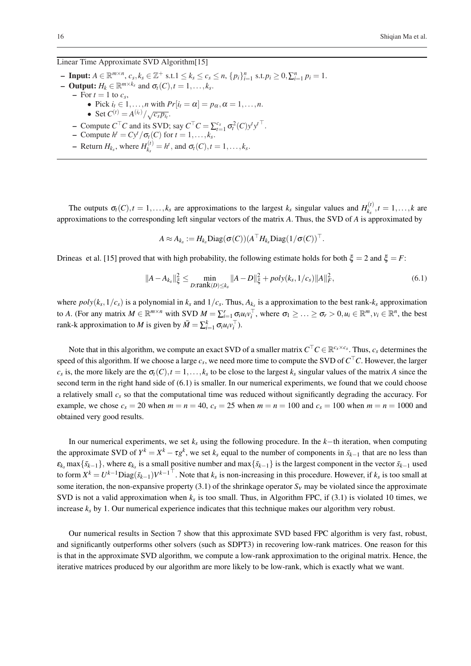## Linear Time Approximate SVD Algorithm[15]

- Input:  $A \in \mathbb{R}^{m \times n}$ ,  $c_s, k_s \in \mathbb{Z}^+$  s.t.  $1 \le k_s \le c_s \le n$ ,  $\{p_i\}_{i=1}^n$  s.t.  $p_i \ge 0, \sum_{i=1}^n p_i = 1$ .  $-$  **Output:**  $H_k \in \mathbb{R}^{m \times k_s}$  and  $\sigma_t(C), t = 1, \ldots, k_s$ .  $-$  For  $t = 1$  to  $c_s$ , • Pick  $i_t \in \mathbb{I},...,n$  with  $Pr[i_t = \alpha] = p_\alpha, \alpha = 1,...,n$ . • Set  $C^{(t)} = A^{(i_t)} / \sqrt{c_s p_{i_t}}$ .  $\sim$  Compute  $C^{\top}C$  and its SVD; say  $C^{\top}C = \sum_{t=1}^{c_s} \sigma_t^2(C) y^t y^{t \top}$ .  $\overline{C}$  - Compute  $h^t = Cy^t / \sigma_t(C)$  for  $t = 1, \ldots, k_s$ .  $-$  Return  $H_{k_s}$ , where  $H_{k_s}^{(t)}$  $a_{k_s}^{(t)} = h^t$ , and  $\sigma_t(C)$ ,  $t = 1, ..., k_s$ .

The outputs  $\sigma_t(C)$ ,  $t = 1, \ldots, k_s$  are approximations to the largest  $k_s$  singular values and  $H_{k_s}^{(t)}$  $f_{k_s}^{(t)}$ ,  $t = 1, ..., k$  are approximations to the corresponding left singular vectors of the matrix *A*. Thus, the SVD of *A* is approximated by

$$
A \approx A_{k_s} := H_{k_s} \text{Diag}(\sigma(C))(A^\top H_{k_s} \text{Diag}(1/\sigma(C))^\top.
$$

Drineas et al. [15] proved that with high probability, the following estimate holds for both  $\xi = 2$  and  $\xi = F$ :

$$
||A - A_{k_s}||_{\xi}^2 \le \min_{D: \text{rank}(D) \le k_s} ||A - D||_{\xi}^2 + \text{poly}(k_s, 1/c_s) ||A||_F^2,
$$
\n(6.1)

where  $poly(k_s, 1/c_s)$  is a polynomial in  $k_s$  and  $1/c_s$ . Thus,  $A_{k_s}$  is a approximation to the best rank- $k_s$  approximation to A. (For any matrix  $M \in \mathbb{R}^{m \times n}$  with SVD  $M = \sum_{i=1}^{r} \sigma_i u_i v_i^{\top}$ , where  $\sigma_1 \geq \ldots \geq \sigma_r > 0, u_i \in \mathbb{R}^m, v_i \in \mathbb{R}^n$ , the best rank-k approximation to *M* is given by  $\bar{M} = \sum_{i=1}^{k} \sigma_i u_i v_i^{\top}$ .

Note that in this algorithm, we compute an exact SVD of a smaller matrix  $C^{\top}C \in \mathbb{R}^{c_s \times c_s}$ . Thus,  $c_s$  determines the speed of this algorithm. If we choose a large  $c_s$ , we need more time to compute the SVD of  $C^{\top}C$ . However, the larger *c<sub>s</sub>* is, the more likely are the  $\sigma_t(C)$ ,  $t = 1, \ldots, k_s$  to be close to the largest  $k_s$  singular values of the matrix *A* since the second term in the right hand side of (6.1) is smaller. In our numerical experiments, we found that we could choose a relatively small  $c<sub>s</sub>$  so that the computational time was reduced without significantly degrading the accuracy. For example, we chose  $c_s = 20$  when  $m = n = 40$ ,  $c_s = 25$  when  $m = n = 100$  and  $c_s = 100$  when  $m = n = 1000$  and obtained very good results.

In our numerical experiments, we set *k<sup>s</sup>* using the following procedure. In the *k*−th iteration, when computing the approximate SVD of  $Y^k = X^k - \tau g^k$ , we set  $k_s$  equal to the number of components in  $\bar{s}_{k-1}$  that are no less than  $\varepsilon_{k_s}$  max $\{\bar{s}_{k-1}\}$ , where  $\varepsilon_{k_s}$  is a small positive number and max $\{\bar{s}_{k-1}\}$  is the largest component in the vector  $\bar{s}_{k-1}$  used to form  $X^k = U^{k-1} \text{Diag}(\bar{s}_{k-1}) V^{k-1}$ . Note that  $k_s$  is non-increasing in this procedure. However, if  $k_s$  is too small at some iteration, the non-expansive property  $(3.1)$  of the shrinkage operator  $S_v$  may be violated since the approximate SVD is not a valid approximation when  $k_s$  is too small. Thus, in Algorithm FPC, if  $(3.1)$  is violated 10 times, we increase  $k<sub>s</sub>$  by 1. Our numerical experience indicates that this technique makes our algorithm very robust.

Our numerical results in Section 7 show that this approximate SVD based FPC algorithm is very fast, robust, and significantly outperforms other solvers (such as SDPT3) in recovering low-rank matrices. One reason for this is that in the approximate SVD algorithm, we compute a low-rank approximation to the original matrix. Hence, the iterative matrices produced by our algorithm are more likely to be low-rank, which is exactly what we want.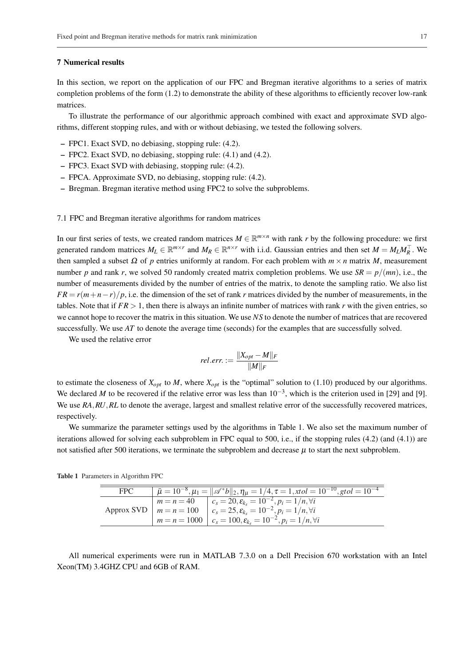#### 7 Numerical results

In this section, we report on the application of our FPC and Bregman iterative algorithms to a series of matrix completion problems of the form (1.2) to demonstrate the ability of these algorithms to efficiently recover low-rank matrices.

To illustrate the performance of our algorithmic approach combined with exact and approximate SVD algorithms, different stopping rules, and with or without debiasing, we tested the following solvers.

- FPC1. Exact SVD, no debiasing, stopping rule: (4.2).
- FPC2. Exact SVD, no debiasing, stopping rule: (4.1) and (4.2).
- FPC3. Exact SVD with debiasing, stopping rule: (4.2).
- FPCA. Approximate SVD, no debiasing, stopping rule: (4.2).
- Bregman. Bregman iterative method using FPC2 to solve the subproblems.

#### 7.1 FPC and Bregman iterative algorithms for random matrices

In our first series of tests, we created random matrices  $M \in \mathbb{R}^{m \times n}$  with rank *r* by the following procedure: we first generated random matrices  $M_L \in \mathbb{R}^{m \times r}$  and  $M_R \in \mathbb{R}^{n \times r}$  with i.i.d. Gaussian entries and then set  $M = M_L M_R^{\top}$ . We then sampled a subset <sup>Ω</sup> of *p* entries uniformly at random. For each problem with *m* × *n* matrix *M*, measurement number *p* and rank *r*, we solved 50 randomly created matrix completion problems. We use  $SR = p/(mn)$ , i.e., the number of measurements divided by the number of entries of the matrix, to denote the sampling ratio. We also list  $FR = r(m+n-r)/p$ , i.e. the dimension of the set of rank *r* matrices divided by the number of measurements, in the tables. Note that if  $FR > 1$ , then there is always an infinite number of matrices with rank *r* with the given entries, so we cannot hope to recover the matrix in this situation. We use *NS* to denote the number of matrices that are recovered successfully. We use *AT* to denote the average time (seconds) for the examples that are successfully solved.

We used the relative error

$$
rel. err. := \frac{\|X_{opt} - M\|_F}{\|M\|_F}
$$

to estimate the closeness of  $X_{opt}$  to *M*, where  $X_{opt}$  is the "optimal" solution to (1.10) produced by our algorithms. We declared *M* to be recovered if the relative error was less than  $10^{-3}$ , which is the criterion used in [29] and [9]. We use *RA*, *RU*, *RL* to denote the average, largest and smallest relative error of the successfully recovered matrices, respectively.

We summarize the parameter settings used by the algorithms in Table 1. We also set the maximum number of iterations allowed for solving each subproblem in FPC equal to 500, i.e., if the stopping rules (4.2) (and (4.1)) are not satisfied after 500 iterations, we terminate the subproblem and decrease  $\mu$  to start the next subproblem.

|  | <b>Table 1</b> Parameters in Algorithm FPC |  |  |  |
|--|--------------------------------------------|--|--|--|
|--|--------------------------------------------|--|--|--|

| <b>FPC</b> | $\bar{\mu} = 10^{-8}, \mu_1 =   \mathscr{A}^*b  _2, \eta_\mu = 1/4, \tau = 1, xtol = 10^{-10}, gtol = 10^{-4}$                                                                                                                                                             |
|------------|----------------------------------------------------------------------------------------------------------------------------------------------------------------------------------------------------------------------------------------------------------------------------|
|            | $m = n = 40$ $c_s = 20$ , $\varepsilon_{k_s} = \overline{10^{-2}, p_i = 1/n, \forall i}$<br>Approx SVD $m = n = 100$ $c_s = 25$ , $\varepsilon_k = 10^{-2}$ , $p_i = 1/n$ , $\forall i$<br>$m = n = 1000$   $c_s = 100, \varepsilon_{k_s} = 10^{-2}, p_i = 1/n, \forall i$ |

All numerical experiments were run in MATLAB 7.3.0 on a Dell Precision 670 workstation with an Intel Xeon(TM) 3.4GHZ CPU and 6GB of RAM.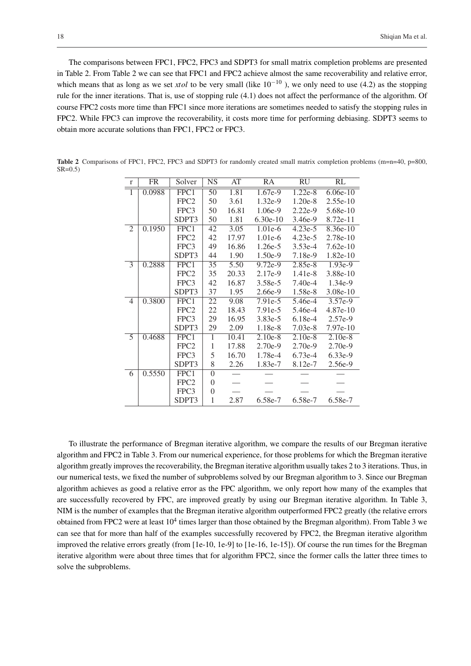The comparisons between FPC1, FPC2, FPC3 and SDPT3 for small matrix completion problems are presented in Table 2. From Table 2 we can see that FPC1 and FPC2 achieve almost the same recoverability and relative error, which means that as long as we set *xtol* to be very small (like  $10^{-10}$ ), we only need to use (4.2) as the stopping rule for the inner iterations. That is, use of stopping rule (4.1) does not affect the performance of the algorithm. Of course FPC2 costs more time than FPC1 since more iterations are sometimes needed to satisfy the stopping rules in FPC2. While FPC3 can improve the recoverability, it costs more time for performing debiasing. SDPT3 seems to obtain more accurate solutions than FPC1, FPC2 or FPC3.

| $\mathbf{r}$   | FR     | Solver                   | <b>NS</b>       | AT    | RA         | RU        | RL         |
|----------------|--------|--------------------------|-----------------|-------|------------|-----------|------------|
| $\mathbf{1}$   | 0.0988 | FPC1                     | 50              | 1.81  | $1.67e-9$  | $1.22e-8$ | $6.06e-10$ |
|                |        | FPC <sub>2</sub>         | 50              | 3.61  | $1.32e-9$  | $1.20e-8$ | $2.55e-10$ |
|                |        | FPC3                     | 50              | 16.81 | $1.06e-9$  | $2.22e-9$ | 5.68e-10   |
|                |        | SDPT3                    | 50              | 1.81  | $6.30e-10$ | $3.46e-9$ | $8.72e-11$ |
| $\mathfrak{2}$ | 0.1950 | FPC1                     | $\overline{42}$ | 3.05  | 1.01e-6    | $4.23e-5$ | 8.36e-10   |
|                |        | FPC <sub>2</sub>         | 42              | 17.97 | 1.01e-6    | $4.23e-5$ | $2.78e-10$ |
|                |        | FPC3                     | 49              | 16.86 | $1.26e-5$  | $3.53e-4$ | $7.62e-10$ |
|                |        | SDPT3                    | 44              | 1.90  | $1.50e-9$  | 7.18e-9   | $1.82e-10$ |
| $\overline{3}$ | 0.2888 | $\overline{\text{FPC1}}$ | 35              | 5.50  | $9.72e-9$  | $2.85e-8$ | $1.93e-9$  |
|                |        | FPC <sub>2</sub>         | 35              | 20.33 | $2.17e-9$  | 1.41e-8   | 3.88e-10   |
|                |        | FPC3                     | 42              | 16.87 | 3.58e-5    | $7.40e-4$ | $1.34e-9$  |
|                |        | SDPT3                    | 37              | 1.95  | $2.66e-9$  | 1.58e-8   | $3.08e-10$ |
| 4              | 0.3800 | FPC1                     | 22              | 9.08  | 7.91e-5    | 5.46e-4   | $3.57e-9$  |
|                |        | FPC <sub>2</sub>         | 22              | 18.43 | 7.91e-5    | 5.46e-4   | 4.87e-10   |
|                |        | FPC3                     | 29              | 16.95 | $3.83e-5$  | $6.18e-4$ | $2.57e-9$  |
|                |        | SDPT3                    | 29              | 2.09  | 1.18e-8    | $7.03e-8$ | $7.97e-10$ |
| 5              | 0.4688 | FPC1                     | 1               | 10.41 | $2.10e-8$  | $2.10e-8$ | $2.10e-8$  |
|                |        | FPC <sub>2</sub>         | $\mathbf{1}$    | 17.88 | $2.70e-9$  | $2.70e-9$ | $2.70e-9$  |
|                |        | FPC3                     | 5               | 16.70 | 1.78e-4    | $6.73e-4$ | 6.33e-9    |
|                |        | SDPT3                    | 8               | 2.26  | 1.83e-7    | 8.12e-7   | 2.56e-9    |
| 6              | 0.5550 | FPC1                     | $\overline{0}$  |       |            |           |            |
|                |        | FPC <sub>2</sub>         | $\theta$        |       |            |           |            |
|                |        | FPC3                     | $\overline{0}$  |       |            |           |            |
|                |        | SDPT3                    | 1               | 2.87  | $6.58e-7$  | $6.58e-7$ | 6.58e-7    |

Table 2 Comparisons of FPC1, FPC2, FPC3 and SDPT3 for randomly created small matrix completion problems (m=n=40, p=800,  $SR=0.5$ 

To illustrate the performance of Bregman iterative algorithm, we compare the results of our Bregman iterative algorithm and FPC2 in Table 3. From our numerical experience, for those problems for which the Bregman iterative algorithm greatly improves the recoverability, the Bregman iterative algorithm usually takes 2 to 3 iterations. Thus, in our numerical tests, we fixed the number of subproblems solved by our Bregman algorithm to 3. Since our Bregman algorithm achieves as good a relative error as the FPC algorithm, we only report how many of the examples that are successfully recovered by FPC, are improved greatly by using our Bregman iterative algorithm. In Table 3, NIM is the number of examples that the Bregman iterative algorithm outperformed FPC2 greatly (the relative errors obtained from FPC2 were at least  $10^4$  times larger than those obtained by the Bregman algorithm). From Table 3 we can see that for more than half of the examples successfully recovered by FPC2, the Bregman iterative algorithm improved the relative errors greatly (from [1e-10, 1e-9] to [1e-16, 1e-15]). Of course the run times for the Bregman iterative algorithm were about three times that for algorithm FPC2, since the former calls the latter three times to solve the subproblems.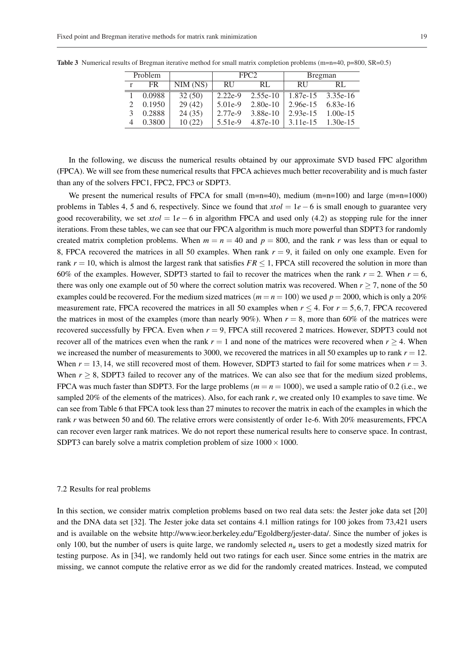|   | Problem |              |           | FPC <sub>2</sub> | <b>Bregman</b>                 |            |  |  |
|---|---------|--------------|-----------|------------------|--------------------------------|------------|--|--|
| r | FR.     | $NIM$ $(NS)$ | -RU       | RL.              | <b>RU</b>                      | RL.        |  |  |
|   | 0.0988  | 32(50)       | $2.22e-9$ |                  | $2.55e-10$   1.87e-15 3.35e-16 |            |  |  |
|   | 0.1950  | 29(42)       | $5.01e-9$ | $2.80e-10$       | $2.96e-15$                     | 6.83e-16   |  |  |
|   | 0.2888  | 24(35)       | 2.77e-9   | 3.88e-10         | $2.93e-15$                     | $1.00e-15$ |  |  |
|   | 0.3800  | 10(22)       | $5.51e-9$ | $4.87e-10$       | $3.11e-15$ $1.30e-15$          |            |  |  |

Table 3 Numerical results of Bregman iterative method for small matrix completion problems (m=n=40, p=800, SR=0.5)

In the following, we discuss the numerical results obtained by our approximate SVD based FPC algorithm (FPCA). We will see from these numerical results that FPCA achieves much better recoverability and is much faster than any of the solvers FPC1, FPC2, FPC3 or SDPT3.

We present the numerical results of FPCA for small  $(m=n=40)$ , medium  $(m=n=100)$  and large  $(m=n=1000)$ problems in Tables 4, 5 and 6, respectively. Since we found that  $xtol = 1e - 6$  is small enough to guarantee very good recoverability, we set  $xtol = 1e - 6$  in algorithm FPCA and used only (4.2) as stopping rule for the inner iterations. From these tables, we can see that our FPCA algorithm is much more powerful than SDPT3 for randomly created matrix completion problems. When  $m = n = 40$  and  $p = 800$ , and the rank *r* was less than or equal to 8, FPCA recovered the matrices in all 50 examples. When rank  $r = 9$ , it failed on only one example. Even for rank  $r = 10$ , which is almost the largest rank that satisfies  $FR \le 1$ , FPCA still recovered the solution in more than 60% of the examples. However, SDPT3 started to fail to recover the matrices when the rank  $r = 2$ . When  $r = 6$ , there was only one example out of 50 where the correct solution matrix was recovered. When  $r \ge 7$ , none of the 50 examples could be recovered. For the medium sized matrices ( $m = n = 100$ ) we used  $p = 2000$ , which is only a 20% measurement rate, FPCA recovered the matrices in all 50 examples when  $r < 4$ . For  $r = 5,6,7$ , FPCA recovered the matrices in most of the examples (more than nearly 90%). When  $r = 8$ , more than 60% of the matrices were recovered successfully by FPCA. Even when *r* = 9, FPCA still recovered 2 matrices. However, SDPT3 could not recover all of the matrices even when the rank  $r = 1$  and none of the matrices were recovered when  $r \geq 4$ . When we increased the number of measurements to 3000, we recovered the matrices in all 50 examples up to rank  $r = 12$ . When  $r = 13, 14$ , we still recovered most of them. However, SDPT3 started to fail for some matrices when  $r = 3$ . When  $r \geq 8$ , SDPT3 failed to recover any of the matrices. We can also see that for the medium sized problems, FPCA was much faster than SDPT3. For the large problems  $(m = n = 1000)$ , we used a sample ratio of 0.2 (i.e., we sampled 20% of the elements of the matrices). Also, for each rank *r*, we created only 10 examples to save time. We can see from Table 6 that FPCA took less than 27 minutes to recover the matrix in each of the examples in which the rank *r* was between 50 and 60. The relative errors were consistently of order 1e-6. With 20% measurements, FPCA can recover even larger rank matrices. We do not report these numerical results here to conserve space. In contrast, SDPT3 can barely solve a matrix completion problem of size  $1000 \times 1000$ .

#### 7.2 Results for real problems

In this section, we consider matrix completion problems based on two real data sets: the Jester joke data set [20] and the DNA data set [32]. The Jester joke data set contains 4.1 million ratings for 100 jokes from 73,421 users and is available on the website http://www.ieor.berkeley.edu/˜Egoldberg/jester-data/. Since the number of jokes is only 100, but the number of users is quite large, we randomly selected  $n<sub>u</sub>$  users to get a modestly sized matrix for testing purpose. As in [34], we randomly held out two ratings for each user. Since some entries in the matrix are missing, we cannot compute the relative error as we did for the randomly created matrices. Instead, we computed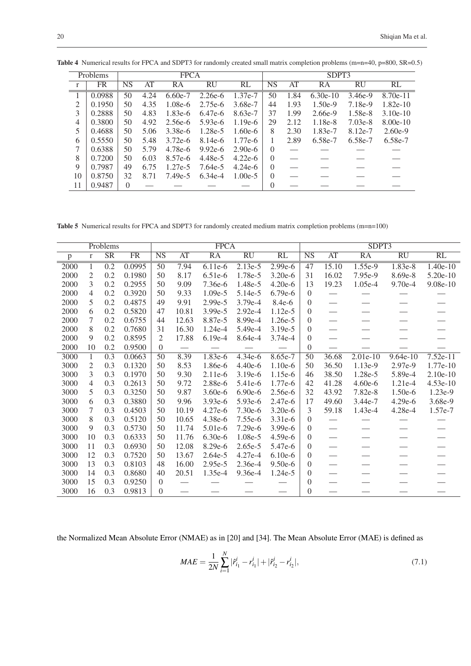|    | Problems |          |      | <b>FPCA</b> |           |           |           |      | SDPT3      |           |            |
|----|----------|----------|------|-------------|-----------|-----------|-----------|------|------------|-----------|------------|
| r  | FR       | NS       | AT   | RA          | RU        | RL        | <b>NS</b> | AT   | RA         | RU        | RL         |
|    | 0.0988   | 50       | 4.24 | $6.60e-7$   | $2.26e-6$ | 1.37e-7   | 50        | 1.84 | $6.30e-10$ | $3.46e-9$ | $8.70e-11$ |
| 2  | 0.1950   | 50       | 4.35 | $1.08e-6$   | $2.75e-6$ | 3.68e-7   | 44        | 1.93 | $1.50e-9$  | 7.18e-9   | $1.82e-10$ |
| 3  | 0.2888   | 50       | 4.83 | $1.83e-6$   | 6.47e-6   | 8.63e-7   | 37        | 1.99 | $2.66e-9$  | 1.58e-8   | $3.10e-10$ |
| 4  | 0.3800   | 50       | 4.92 | $2.56e-6$   | $5.93e-6$ | $1.19e-6$ | 29        | 2.12 | $1.18e-8$  | $7.03e-8$ | $8.00e-10$ |
| 5  | 0.4688   | 50       | 5.06 | 3.38e-6     | 1.28e-5   | $1.60e-6$ | 8         | 2.30 | 1.83e-7    | 8.12e-7   | $2.60e-9$  |
| 6  | 0.5550   | 50       | 5.48 | $3.72e-6$   | $8.14e-6$ | $1.77e-6$ |           | 2.89 | 6.58e-7    | 6.58e-7   | 6.58e-7    |
| 7  | 0.6388   | 50       | 5.79 | 4.78e-6     | $9.92e-6$ | $2.90e-6$ | $\theta$  |      |            |           |            |
| 8  | 0.7200   | 50       | 6.03 | 8.57e-6     | 4.48e-5   | $4.22e-6$ | $\Omega$  |      |            |           |            |
| 9  | 0.7987   | 49       | 6.75 | $1.27e-5$   | 7.64e-5   | $4.24e-6$ | $\Omega$  |      |            |           |            |
| 10 | 0.8750   | 32       | 8.71 | 7.49e-5     | 6.34e-4   | $1.00e-5$ | $\Omega$  |      |            |           |            |
| 11 | 0.9487   | $\Omega$ |      |             |           |           |           |      |            |           |            |

Table 4 Numerical results for FPCA and SDPT3 for randomly created small matrix completion problems (m=n=40, p=800, SR=0.5)

Table 5 Numerical results for FPCA and SDPT3 for randomly created medium matrix completion problems (m=n=100)

|      |                | Problems               |                        |                        |       | <b>FPCA</b>     |                 |           |                        |                 | SDPT3           |                          |            |
|------|----------------|------------------------|------------------------|------------------------|-------|-----------------|-----------------|-----------|------------------------|-----------------|-----------------|--------------------------|------------|
| p    | $\mathbf{r}$   | $\overline{\text{SR}}$ | $\overline{\text{FR}}$ | $\overline{\text{NS}}$ | AT    | $\overline{RA}$ | $\overline{RU}$ | RL        | $\overline{\text{NS}}$ | $\overline{AT}$ | $\overline{RA}$ | $\overline{\mathrm{RU}}$ | RL         |
| 2000 | 1              | $\overline{0.2}$       | 0.0995                 | 50                     | 7.94  | $6.11e-6$       | $2.13e-5$       | $2.99e-6$ | 47                     | 15.10           | $1.55e-9$       | $1.83e-8$                | $1.40e-10$ |
| 2000 | $\overline{2}$ | 0.2                    | 0.1980                 | 50                     | 8.17  | $6.51e-6$       | 1.78e-5         | $3.20e-6$ | 31                     | 16.02           | 7.95e-9         | 8.69e-8                  | $5.20e-10$ |
| 2000 | 3              | 0.2                    | 0.2955                 | 50                     | 9.09  | 7.36e-6         | 1.48e-5         | $4.20e-6$ | 13                     | 19.23           | 1.05e-4         | 9.70e-4                  | 9.08e-10   |
| 2000 | 4              | 0.2                    | 0.3920                 | 50                     | 9.33  | 1.09e-5         | 5.14e-5         | 6.79e-6   | $\Omega$               |                 |                 |                          |            |
| 2000 | 5              | 0.2                    | 0.4875                 | 49                     | 9.91  | 2.99e-5         | 3.79e-4         | $8.4e-6$  | $\Omega$               |                 |                 |                          |            |
| 2000 | 6              | 0.2                    | 0.5820                 | 47                     | 10.81 | 3.99e-5         | 2.92e-4         | 1.12e-5   | $\Omega$               |                 |                 |                          |            |
| 2000 | 7              | 0.2                    | 0.6755                 | 44                     | 12.63 | 8.87e-5         | 8.99e-4         | 1.26e-5   | $\Omega$               |                 |                 |                          |            |
| 2000 | 8              | 0.2                    | 0.7680                 | 31                     | 16.30 | $1.24e-4$       | 5.49e-4         | 3.19e-5   | $\theta$               |                 |                 |                          |            |
| 2000 | 9              | 0.2                    | 0.8595                 | $\overline{2}$         | 17.88 | $6.19e-4$       | 8.64e-4         | $3.74e-4$ | $\theta$               |                 |                 |                          |            |
| 2000 | 10             | 0.2                    | 0.9500                 | $\overline{0}$         |       |                 |                 |           | $\theta$               |                 |                 |                          |            |
| 3000 | $\mathbf{1}$   | 0.3                    | 0.0663                 | $\overline{50}$        | 8.39  | 1.83e-6         | $4.34e-6$       | 8.65e-7   | $\overline{50}$        | 36.68           | $2.01e-10$      | $9.64e-10$               | $7.52e-11$ |
| 3000 | 2              | 0.3                    | 0.1320                 | 50                     | 8.53  | 1.86e-6         | $4.40e-6$       | 1.10e-6   | 50                     | 36.50           | 1.13e-9         | 2.97e-9                  | $1.77e-10$ |
| 3000 | 3              | 0.3                    | 0.1970                 | 50                     | 9.30  | $2.11e-6$       | $3.19e-6$       | 1.15e-6   | 46                     | 38.50           | 1.28e-5         | 5.89e-4                  | $2.10e-10$ |
| 3000 | 4              | 0.3                    | 0.2613                 | 50                     | 9.72  | 2.88e-6         | 5.41e-6         | 1.77e-6   | 42                     | 41.28           | 4.60e-6         | 1.21e-4                  | $4.53e-10$ |
| 3000 | 5              | 0.3                    | 0.3250                 | 50                     | 9.87  | $3.60e-6$       | $6.90e-6$       | $2.56e-6$ | 32                     | 43.92           | 7.82e-8         | 1.50e-6                  | 1.23e-9    |
| 3000 | 6              | 0.3                    | 0.3880                 | 50                     | 9.96  | $3.93e-6$       | $5.93e-6$       | $2.47e-6$ | 17                     | 49.60           | 3.44e-7         | $4.29e-6$                | 3.68e-9    |
| 3000 | 7              | 0.3                    | 0.4503                 | 50                     | 10.19 | 4.27e-6         | $7.30e-6$       | $3.20e-6$ | 3                      | 59.18           | 1.43e-4         | 4.28e-4                  | 1.57e-7    |
| 3000 | 8              | 0.3                    | 0.5120                 | 50                     | 10.65 | 4.38e-6         | 7.55e-6         | $3.31e-6$ | $\theta$               |                 |                 |                          |            |
| 3000 | 9              | 0.3                    | 0.5730                 | 50                     | 11.74 | $5.01e-6$       | $7.29e-6$       | $3.99e-6$ | $\Omega$               |                 |                 |                          |            |
| 3000 | 10             | 0.3                    | 0.6333                 | 50                     | 11.76 | $6.30e-6$       | $1.08e-5$       | $4.59e-6$ | $\Omega$               |                 |                 |                          |            |
| 3000 | 11             | 0.3                    | 0.6930                 | 50                     | 12.08 | 8.29e-6         | $2.65e-5$       | 5.47e-6   | $\Omega$               |                 |                 |                          |            |
| 3000 | 12             | 0.3                    | 0.7520                 | 50                     | 13.67 | 2.64e-5         | $4.27e-4$       | $6.10e-6$ | $\Omega$               |                 |                 |                          |            |
| 3000 | 13             | 0.3                    | 0.8103                 | 48                     | 16.00 | 2.95e-5         | $2.36e-4$       | 9.50e-6   | $\Omega$               |                 |                 |                          |            |
| 3000 | 14             | 0.3                    | 0.8680                 | 40                     | 20.51 | 1.35e-4         | 9.36e-4         | 1.24e-5   | $\Omega$               |                 |                 |                          |            |
| 3000 | 15             | 0.3                    | 0.9250                 | $\Omega$               |       |                 |                 |           | $\overline{0}$         |                 |                 |                          |            |
| 3000 | 16             | 0.3                    | 0.9813                 | $\Omega$               |       |                 |                 |           | $\theta$               |                 |                 |                          |            |

the Normalized Mean Absolute Error (NMAE) as in [20] and [34]. The Mean Absolute Error (MAE) is defined as

$$
MAE = \frac{1}{2N} \sum_{i=1}^{N} |\hat{r}_{i_1}^i - r_{i_1}^i| + |\hat{r}_{i_2}^i - r_{i_2}^i|,\tag{7.1}
$$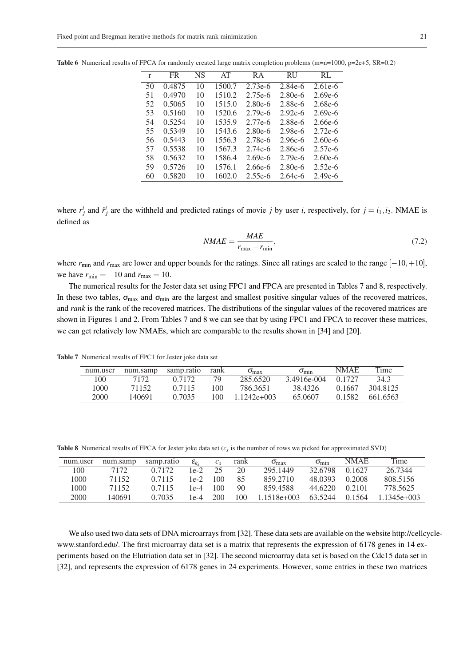| r  | FR     | NS | AT     | R A       | <b>RU</b> | RL        |
|----|--------|----|--------|-----------|-----------|-----------|
| 50 | 0.4875 | 10 | 1500.7 | $2.73e-6$ | $2.84e-6$ | $2.61e-6$ |
| 51 | 0.4970 | 10 | 1510.2 | $2.75e-6$ | $2.80e-6$ | $2.69e-6$ |
| 52 | 0.5065 | 10 | 1515.0 | $2.80e-6$ | 2.88e-6   | $2.68e-6$ |
| 53 | 0.5160 | 10 | 1520.6 | $2.79e-6$ | $2.92e-6$ | $2.69e-6$ |
| 54 | 0.5254 | 10 | 1535.9 | $2.77e-6$ | 2.88e-6   | $2.66e-6$ |
| 55 | 0.5349 | 10 | 1543.6 | $2.80e-6$ | 2.98e-6   | $2.72e-6$ |
| 56 | 0.5443 | 10 | 1556.3 | $2.78e-6$ | 2.96e-6   | $2.60e-6$ |
| 57 | 0.5538 | 10 | 1567.3 | $2.74e-6$ | $2.86e-6$ | $2.57e-6$ |
| 58 | 0.5632 | 10 | 1586.4 | $2.69e-6$ | $2.79e-6$ | $2.60e-6$ |
| 59 | 0.5726 | 10 | 1576.1 | $2.66e-6$ | $2.80e-6$ | $2.52e-6$ |
| 60 | 0.5820 | 10 | 1602.0 | $2.55e-6$ | $2.64e-6$ | $2.49e-6$ |

Table 6 Numerical results of FPCA for randomly created large matrix completion problems (m=n=1000, p=2e+5, SR=0.2)

where  $r_j^i$  and  $\hat{r}_j^i$  are the withheld and predicted ratings of movie *j* by user *i*, respectively, for  $j = i_1, i_2$ . NMAE is defined as

$$
NMAE = \frac{MAE}{r_{\text{max}} - r_{\text{min}}},\tag{7.2}
$$

where *r*<sub>min</sub> and *r*<sub>max</sub> are lower and upper bounds for the ratings. Since all ratings are scaled to the range [−10,+10], we have  $r_{\text{min}} = -10$  and  $r_{\text{max}} = 10$ .

The numerical results for the Jester data set using FPC1 and FPCA are presented in Tables 7 and 8, respectively. In these two tables,  $\sigma_{\text{max}}$  and  $\sigma_{\text{min}}$  are the largest and smallest positive singular values of the recovered matrices, and *rank* is the rank of the recovered matrices. The distributions of the singular values of the recovered matrices are shown in Figures 1 and 2. From Tables 7 and 8 we can see that by using FPC1 and FPCA to recover these matrices, we can get relatively low NMAEs, which are comparable to the results shown in [34] and [20].

Table 7 Numerical results of FPC1 for Jester joke data set

| num.user | num.samp | samp.ratio | rank | $\sigma_{\text{max}}$ | $\sigma_{\min}$ | <b>NMAE</b> | Time     |
|----------|----------|------------|------|-----------------------|-----------------|-------------|----------|
| 100      | 7172     | 0.7172     | 79.  | 285.6520              | 3.4916e-004     | 0.1727      | 34.3     |
| 1000     | 71152    | 0.7115     | 100  | 786.3651              | 38.4326         | 0.1667      | 304 8125 |
| 2000     | 140691   | 0.7035     | 100  | $1.1242e+003$         | 65.0607         | 0.1582      | 661.6563 |

Table 8 Numerical results of FPCA for Jester joke data set  $(c<sub>s</sub>$  is the number of rows we picked for approximated SVD)

| num.user | num.samp | samp.ratio | $\mathcal{E}_{k}$ | $c_{s}$ | rank | $\sigma_{\text{max}}$ | $\sigma_{\min}$ | <b>NMAE</b> | Time          |
|----------|----------|------------|-------------------|---------|------|-----------------------|-----------------|-------------|---------------|
| 100      | 7172     | 0.7172     | 1e-2.             | 25      | 20   | 295.1449              | 32.6798         | 0.1627      | 26.7344       |
| 1000     | 71152    | 0.7115     | $1e-2$            | 100     | 85   | 859 2710              | 48.0393         | 0.2008      | 808.5156      |
| 1000.    | 71152    | 0.7115     | $1e-4$            | 100     | 90   | 8594588               | 44.6220         | 0.2101      | 778 5625      |
| 2000     | 140691   | 0.7035     | $1e-4$            | 200     | 100  | $1.1518e+003$         | 63.5244         | 0.1564      | $1.1345e+003$ |

We also used two data sets of DNA microarrays from [32]. These data sets are available on the website http://cellcyclewww.stanford.edu/. The first microarray data set is a matrix that represents the expression of 6178 genes in 14 experiments based on the Elutriation data set in [32]. The second microarray data set is based on the Cdc15 data set in [32], and represents the expression of 6178 genes in 24 experiments. However, some entries in these two matrices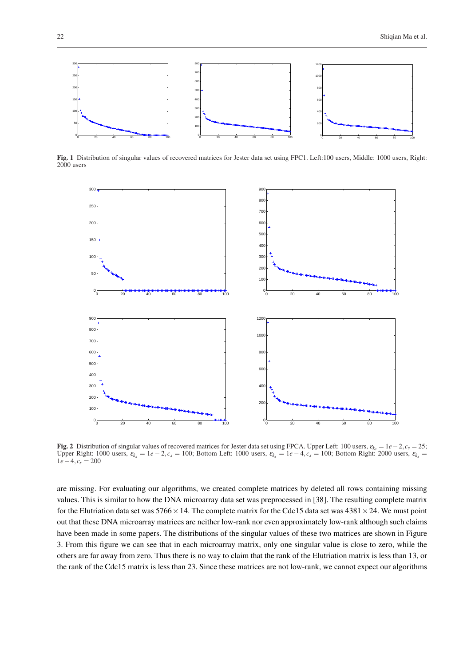

Fig. 1 Distribution of singular values of recovered matrices for Jester data set using FPC1. Left:100 users, Middle: 1000 users, Right: 2000 users



Fig. 2 Distribution of singular values of recovered matrices for Jester data set using FPCA. Upper Left: 100 users, <sup>ε</sup>*k<sup>s</sup>* = 1*e*−2,*c<sup>s</sup>* = 25; Upper Right: 1000 users,  $\varepsilon_{k_s} = 1e - 2$ ,  $c_s = 100$ ; Bottom Left: 1000 users,  $\varepsilon_{k_s} = 1e - 4$ ,  $c_s = 100$ ; Bottom Right: 2000 users,  $\varepsilon_{k_s} = 1e - 4$  $1e-4, c_s = 200$ 

are missing. For evaluating our algorithms, we created complete matrices by deleted all rows containing missing values. This is similar to how the DNA microarray data set was preprocessed in [38]. The resulting complete matrix for the Elutriation data set was  $5766 \times 14$ . The complete matrix for the Cdc15 data set was  $4381 \times 24$ . We must point out that these DNA microarray matrices are neither low-rank nor even approximately low-rank although such claims have been made in some papers. The distributions of the singular values of these two matrices are shown in Figure 3. From this figure we can see that in each microarray matrix, only one singular value is close to zero, while the others are far away from zero. Thus there is no way to claim that the rank of the Elutriation matrix is less than 13, or the rank of the Cdc15 matrix is less than 23. Since these matrices are not low-rank, we cannot expect our algorithms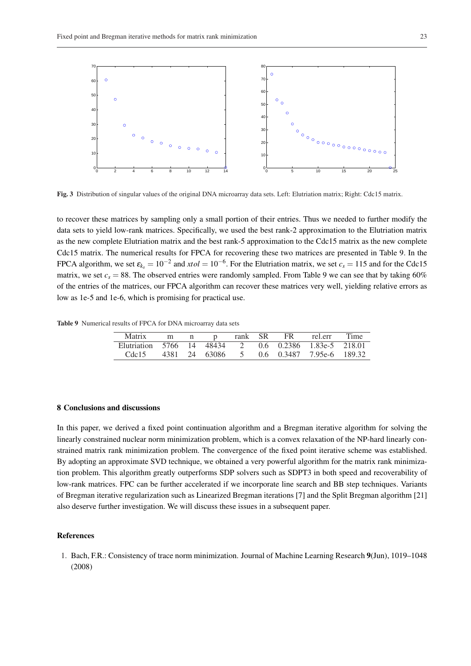

Fig. 3 Distribution of singular values of the original DNA microarray data sets. Left: Elutriation matrix; Right: Cdc15 matrix.

to recover these matrices by sampling only a small portion of their entries. Thus we needed to further modify the data sets to yield low-rank matrices. Specifically, we used the best rank-2 approximation to the Elutriation matrix as the new complete Elutriation matrix and the best rank-5 approximation to the Cdc15 matrix as the new complete Cdc15 matrix. The numerical results for FPCA for recovering these two matrices are presented in Table 9. In the FPCA algorithm, we set  $\varepsilon_{k_s} = 10^{-2}$  and  $xtol = 10^{-6}$ . For the Elutriation matrix, we set  $c_s = 115$  and for the Cdc15 matrix, we set  $c_s = 88$ . The observed entries were randomly sampled. From Table 9 we can see that by taking 60% of the entries of the matrices, our FPCA algorithm can recover these matrices very well, yielding relative errors as low as 1e-5 and 1e-6, which is promising for practical use.

Table 9 Numerical results of FPCA for DNA microarray data sets

| Matrix                                                |  |  |  | m n p rank SR FR rel.err | Time |
|-------------------------------------------------------|--|--|--|--------------------------|------|
| Elutriation 5766 14 48434 2 0.6 0.2386 1.83e-5 218.01 |  |  |  |                          |      |
| Cdc15 4381 24 63086 5 0.6 0.3487 7.95e-6 189.32       |  |  |  |                          |      |

#### 8 Conclusions and discussions

In this paper, we derived a fixed point continuation algorithm and a Bregman iterative algorithm for solving the linearly constrained nuclear norm minimization problem, which is a convex relaxation of the NP-hard linearly constrained matrix rank minimization problem. The convergence of the fixed point iterative scheme was established. By adopting an approximate SVD technique, we obtained a very powerful algorithm for the matrix rank minimization problem. This algorithm greatly outperforms SDP solvers such as SDPT3 in both speed and recoverability of low-rank matrices. FPC can be further accelerated if we incorporate line search and BB step techniques. Variants of Bregman iterative regularization such as Linearized Bregman iterations [7] and the Split Bregman algorithm [21] also deserve further investigation. We will discuss these issues in a subsequent paper.

## References

1. Bach, F.R.: Consistency of trace norm minimization. Journal of Machine Learning Research 9(Jun), 1019–1048 (2008)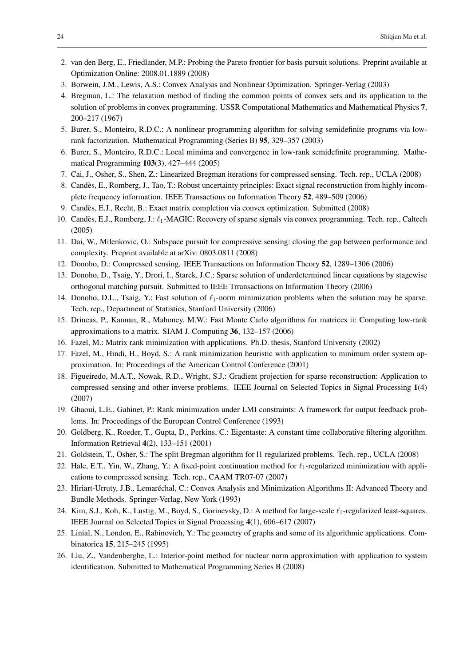- 2. van den Berg, E., Friedlander, M.P.: Probing the Pareto frontier for basis pursuit solutions. Preprint available at Optimization Online: 2008.01.1889 (2008)
- 3. Borwein, J.M., Lewis, A.S.: Convex Analysis and Nonlinear Optimization. Springer-Verlag (2003)
- 4. Bregman, L.: The relaxation method of finding the common points of convex sets and its application to the solution of problems in convex programming. USSR Computational Mathematics and Mathematical Physics 7, 200–217 (1967)
- 5. Burer, S., Monteiro, R.D.C.: A nonlinear programming algorithm for solving semidefinite programs via lowrank factorization. Mathematical Programming (Series B) 95, 329–357 (2003)
- 6. Burer, S., Monteiro, R.D.C.: Local mimima and convergence in low-rank semidefinite programming. Mathematical Programming 103(3), 427–444 (2005)
- 7. Cai, J., Osher, S., Shen, Z.: Linearized Bregman iterations for compressed sensing. Tech. rep., UCLA (2008)
- 8. Candes, E., Romberg, J., Tao, T.: Robust uncertainty principles: Exact signal reconstruction from highly incom- ` plete frequency information. IEEE Transactions on Information Theory 52, 489–509 (2006)
- 9. Candes, E.J., Recht, B.: Exact matrix completion via convex optimization. Submitted (2008) `
- 10. Candès, E.J., Romberg, J.:  $\ell_1$ -MAGIC: Recovery of sparse signals via convex programming. Tech. rep., Caltech (2005)
- 11. Dai, W., Milenkovic, O.: Subspace pursuit for compressive sensing: closing the gap between performance and complexity. Preprint available at arXiv: 0803.0811 (2008)
- 12. Donoho, D.: Compressed sensing. IEEE Transactions on Information Theory 52, 1289–1306 (2006)
- 13. Donoho, D., Tsaig, Y., Drori, I., Starck, J.C.: Sparse solution of underdetermined linear equations by stagewise orthogonal matching pursuit. Submitted to IEEE Trransactions on Information Theory (2006)
- 14. Donoho, D.L., Tsaig, Y.: Fast solution of  $\ell_1$ -norm minimization problems when the solution may be sparse. Tech. rep., Department of Statistics, Stanford University (2006)
- 15. Drineas, P., Kannan, R., Mahoney, M.W.: Fast Monte Carlo algorithms for matrices ii: Computing low-rank approximations to a matrix. SIAM J. Computing 36, 132–157 (2006)
- 16. Fazel, M.: Matrix rank minimization with applications. Ph.D. thesis, Stanford University (2002)
- 17. Fazel, M., Hindi, H., Boyd, S.: A rank minimization heuristic with application to minimum order system approximation. In: Proceedings of the American Control Conference (2001)
- 18. Figueiredo, M.A.T., Nowak, R.D., Wright, S.J.: Gradient projection for sparse reconstruction: Application to compressed sensing and other inverse problems. IEEE Journal on Selected Topics in Signal Processing 1(4) (2007)
- 19. Ghaoui, L.E., Gahinet, P.: Rank minimization under LMI constraints: A framework for output feedback problems. In: Proceedings of the European Control Conference (1993)
- 20. Goldberg, K., Roeder, T., Gupta, D., Perkins, C.: Eigentaste: A constant time collaborative filtering algorithm. Information Retrieval 4(2), 133–151 (2001)
- 21. Goldstein, T., Osher, S.: The split Bregman algorithm for l1 regularized problems. Tech. rep., UCLA (2008)
- 22. Hale, E.T., Yin, W., Zhang, Y.: A fixed-point continuation method for  $\ell_1$ -regularized minimization with applications to compressed sensing. Tech. rep., CAAM TR07-07 (2007)
- 23. Hiriart-Urruty, J.B., Lemarechal, C.: Convex Analysis and Minimization Algorithms II: Advanced Theory and ´ Bundle Methods. Springer-Verlag, New York (1993)
- 24. Kim, S.J., Koh, K., Lustig, M., Boyd, S., Gorinevsky, D.: A method for large-scale  $\ell_1$ -regularized least-squares. IEEE Journal on Selected Topics in Signal Processing 4(1), 606–617 (2007)
- 25. Linial, N., London, E., Rabinovich, Y.: The geometry of graphs and some of its algorithmic applications. Combinatorica 15, 215–245 (1995)
- 26. Liu, Z., Vandenberghe, L.: Interior-point method for nuclear norm approximation with application to system identification. Submitted to Mathematical Programming Series B (2008)